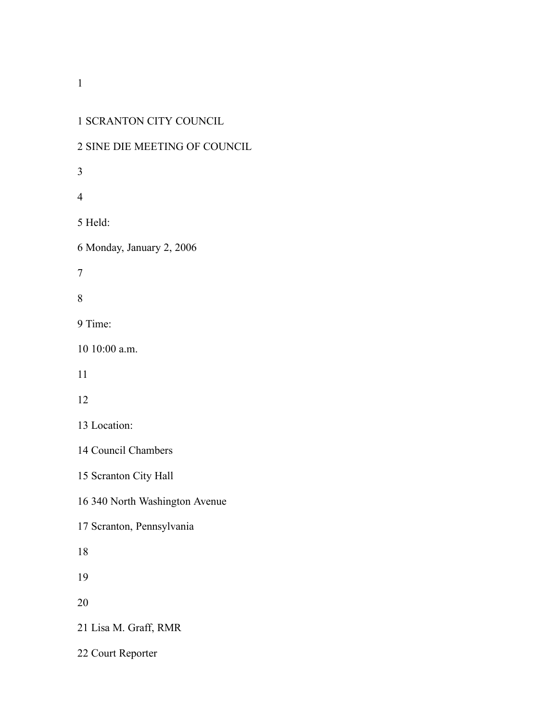## SCRANTON CITY COUNCIL

## SINE DIE MEETING OF COUNCIL

Held:

Monday, January 2, 2006

Time:

10:00 a.m.

Location:

Council Chambers

Scranton City Hall

340 North Washington Avenue

Scranton, Pennsylvania

Lisa M. Graff, RMR

Court Reporter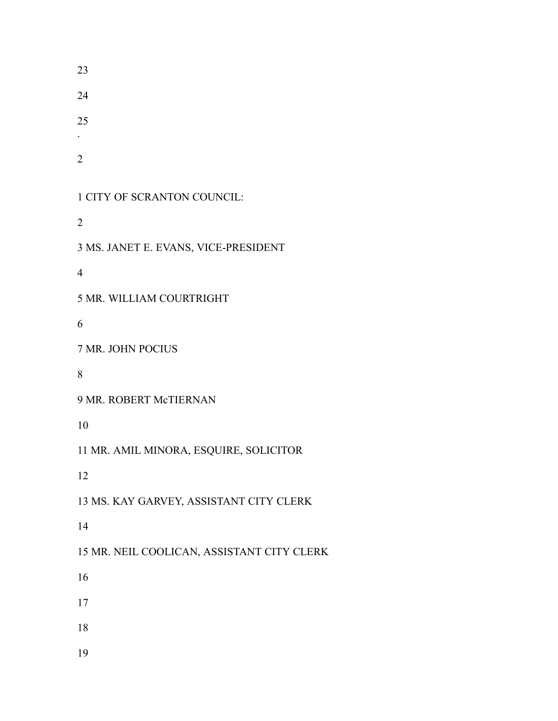.

CITY OF SCRANTON COUNCIL:

MS. JANET E. EVANS, VICE-PRESIDENT

MR. WILLIAM COURTRIGHT

MR. JOHN POCIUS

MR. ROBERT McTIERNAN

MR. AMIL MINORA, ESQUIRE, SOLICITOR

MS. KAY GARVEY, ASSISTANT CITY CLERK

MR. NEIL COOLICAN, ASSISTANT CITY CLERK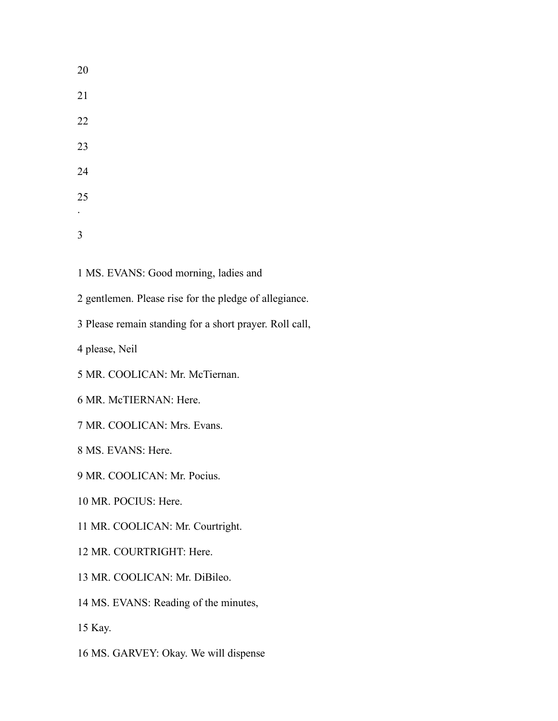MS. EVANS: Good morning, ladies and

gentlemen. Please rise for the pledge of allegiance.

Please remain standing for a short prayer. Roll call,

please, Neil

- MR. COOLICAN: Mr. McTiernan.
- MR. McTIERNAN: Here.
- MR. COOLICAN: Mrs. Evans.

MS. EVANS: Here.

- MR. COOLICAN: Mr. Pocius.
- MR. POCIUS: Here.
- MR. COOLICAN: Mr. Courtright.
- MR. COURTRIGHT: Here.
- MR. COOLICAN: Mr. DiBileo.
- MS. EVANS: Reading of the minutes,

Kay.

MS. GARVEY: Okay. We will dispense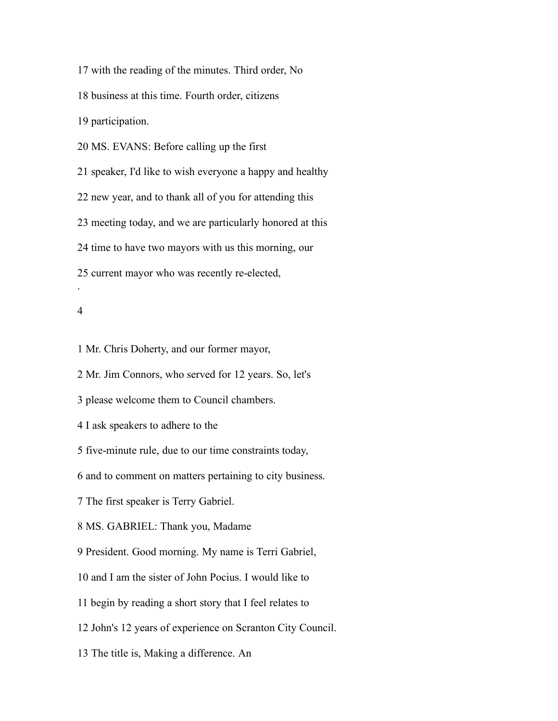with the reading of the minutes. Third order, No business at this time. Fourth order, citizens participation. MS. EVANS: Before calling up the first speaker, I'd like to wish everyone a happy and healthy new year, and to thank all of you for attending this meeting today, and we are particularly honored at this time to have two mayors with us this morning, our current mayor who was recently re-elected, .

#### 

Mr. Chris Doherty, and our former mayor,

Mr. Jim Connors, who served for 12 years. So, let's

please welcome them to Council chambers.

I ask speakers to adhere to the

five-minute rule, due to our time constraints today,

and to comment on matters pertaining to city business.

The first speaker is Terry Gabriel.

MS. GABRIEL: Thank you, Madame

President. Good morning. My name is Terri Gabriel,

and I am the sister of John Pocius. I would like to

begin by reading a short story that I feel relates to

John's 12 years of experience on Scranton City Council.

The title is, Making a difference. An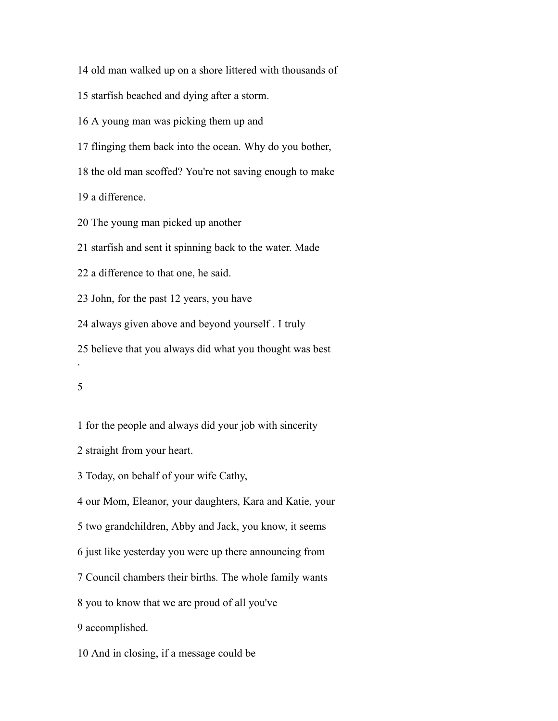old man walked up on a shore littered with thousands of

starfish beached and dying after a storm.

A young man was picking them up and

flinging them back into the ocean. Why do you bother,

the old man scoffed? You're not saving enough to make

a difference.

The young man picked up another

starfish and sent it spinning back to the water. Made

a difference to that one, he said.

John, for the past 12 years, you have

always given above and beyond yourself . I truly

believe that you always did what you thought was best

.

for the people and always did your job with sincerity

straight from your heart.

Today, on behalf of your wife Cathy,

our Mom, Eleanor, your daughters, Kara and Katie, your

two grandchildren, Abby and Jack, you know, it seems

just like yesterday you were up there announcing from

Council chambers their births. The whole family wants

you to know that we are proud of all you've

accomplished.

And in closing, if a message could be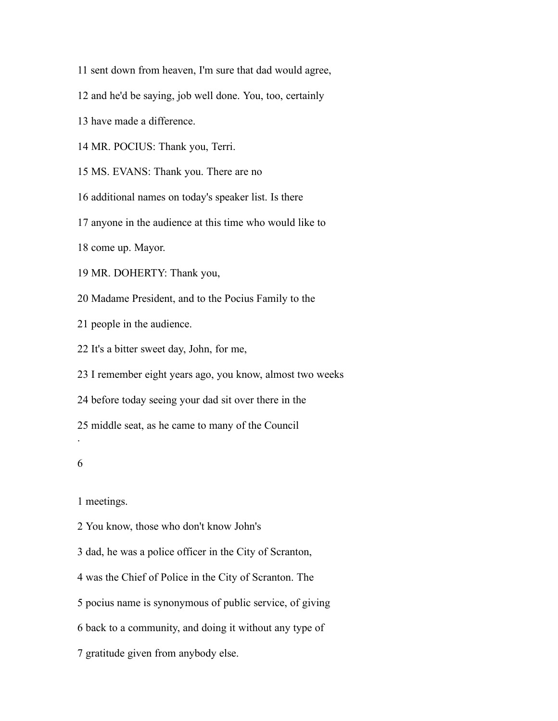sent down from heaven, I'm sure that dad would agree,

and he'd be saying, job well done. You, too, certainly

have made a difference.

MR. POCIUS: Thank you, Terri.

MS. EVANS: Thank you. There are no

additional names on today's speaker list. Is there

anyone in the audience at this time who would like to

come up. Mayor.

MR. DOHERTY: Thank you,

Madame President, and to the Pocius Family to the

people in the audience.

It's a bitter sweet day, John, for me,

I remember eight years ago, you know, almost two weeks

before today seeing your dad sit over there in the

middle seat, as he came to many of the Council

#### 

.

meetings.

You know, those who don't know John's

dad, he was a police officer in the City of Scranton,

was the Chief of Police in the City of Scranton. The

pocius name is synonymous of public service, of giving

back to a community, and doing it without any type of

gratitude given from anybody else.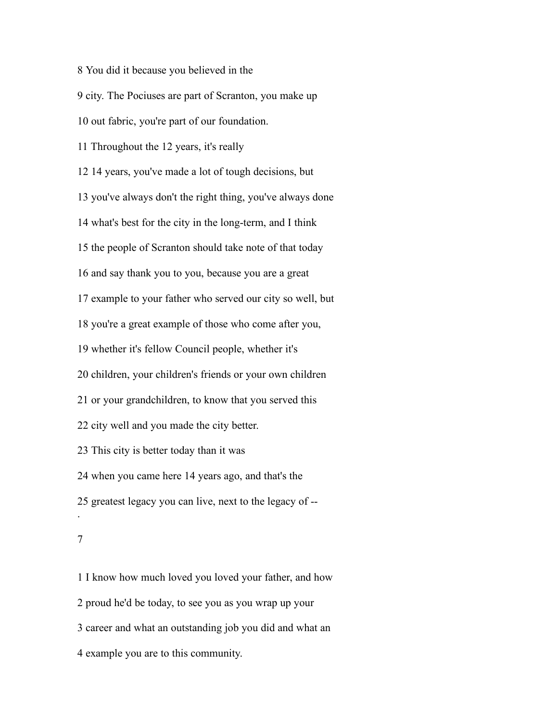You did it because you believed in the city. The Pociuses are part of Scranton, you make up out fabric, you're part of our foundation. Throughout the 12 years, it's really 14 years, you've made a lot of tough decisions, but you've always don't the right thing, you've always done what's best for the city in the long-term, and I think the people of Scranton should take note of that today and say thank you to you, because you are a great example to your father who served our city so well, but you're a great example of those who come after you, whether it's fellow Council people, whether it's children, your children's friends or your own children or your grandchildren, to know that you served this city well and you made the city better. This city is better today than it was when you came here 14 years ago, and that's the greatest legacy you can live, next to the legacy of -- .

 I know how much loved you loved your father, and how proud he'd be today, to see you as you wrap up your career and what an outstanding job you did and what an example you are to this community.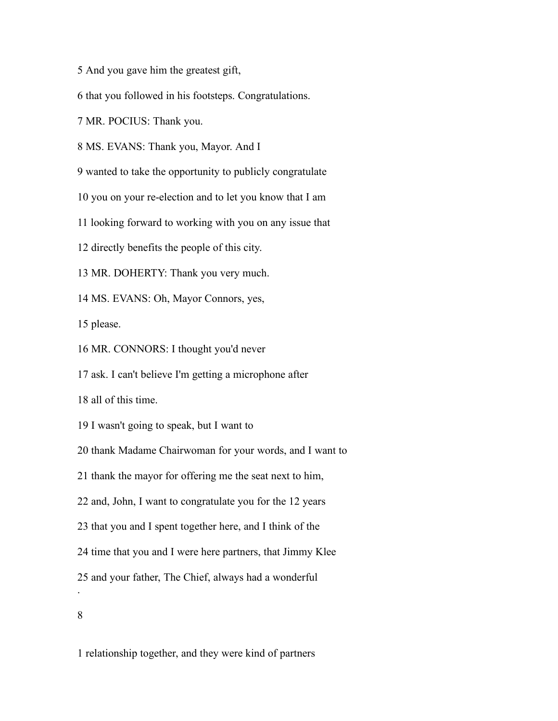And you gave him the greatest gift,

that you followed in his footsteps. Congratulations.

MR. POCIUS: Thank you.

MS. EVANS: Thank you, Mayor. And I

wanted to take the opportunity to publicly congratulate

you on your re-election and to let you know that I am

looking forward to working with you on any issue that

directly benefits the people of this city.

MR. DOHERTY: Thank you very much.

MS. EVANS: Oh, Mayor Connors, yes,

please.

MR. CONNORS: I thought you'd never

ask. I can't believe I'm getting a microphone after

all of this time.

I wasn't going to speak, but I want to

thank Madame Chairwoman for your words, and I want to

thank the mayor for offering me the seat next to him,

and, John, I want to congratulate you for the 12 years

that you and I spent together here, and I think of the

time that you and I were here partners, that Jimmy Klee

and your father, The Chief, always had a wonderful

.

relationship together, and they were kind of partners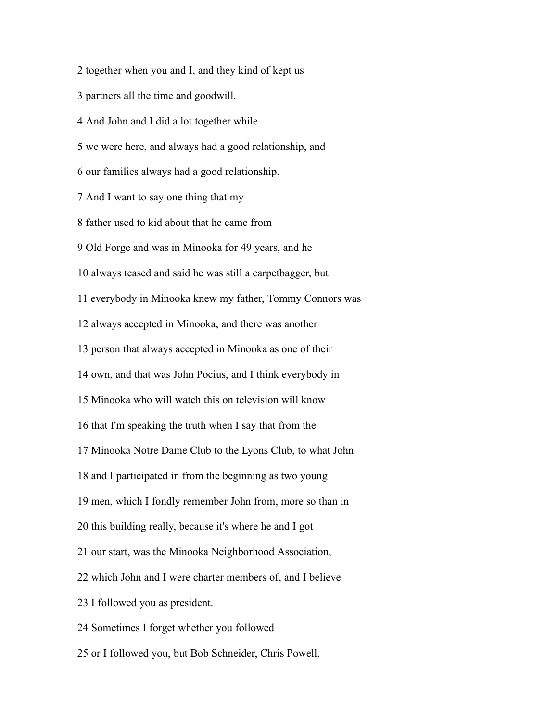partners all the time and goodwill. And John and I did a lot together while we were here, and always had a good relationship, and our families always had a good relationship. And I want to say one thing that my father used to kid about that he came from Old Forge and was in Minooka for 49 years, and he always teased and said he was still a carpetbagger, but everybody in Minooka knew my father, Tommy Connors was always accepted in Minooka, and there was another person that always accepted in Minooka as one of their own, and that was John Pocius, and I think everybody in Minooka who will watch this on television will know that I'm speaking the truth when I say that from the Minooka Notre Dame Club to the Lyons Club, to what John and I participated in from the beginning as two young men, which I fondly remember John from, more so than in this building really, because it's where he and I got our start, was the Minooka Neighborhood Association, which John and I were charter members of, and I believe I followed you as president. Sometimes I forget whether you followed or I followed you, but Bob Schneider, Chris Powell,

together when you and I, and they kind of kept us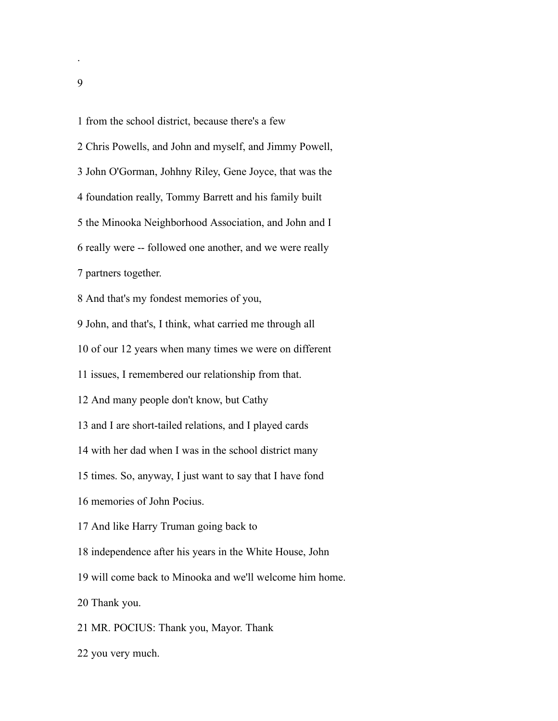from the school district, because there's a few

 Chris Powells, and John and myself, and Jimmy Powell, John O'Gorman, Johhny Riley, Gene Joyce, that was the foundation really, Tommy Barrett and his family built the Minooka Neighborhood Association, and John and I really were -- followed one another, and we were really partners together. And that's my fondest memories of you, John, and that's, I think, what carried me through all of our 12 years when many times we were on different issues, I remembered our relationship from that. And many people don't know, but Cathy and I are short-tailed relations, and I played cards with her dad when I was in the school district many times. So, anyway, I just want to say that I have fond memories of John Pocius.

And like Harry Truman going back to

independence after his years in the White House, John

will come back to Minooka and we'll welcome him home.

Thank you.

MR. POCIUS: Thank you, Mayor. Thank

you very much.

.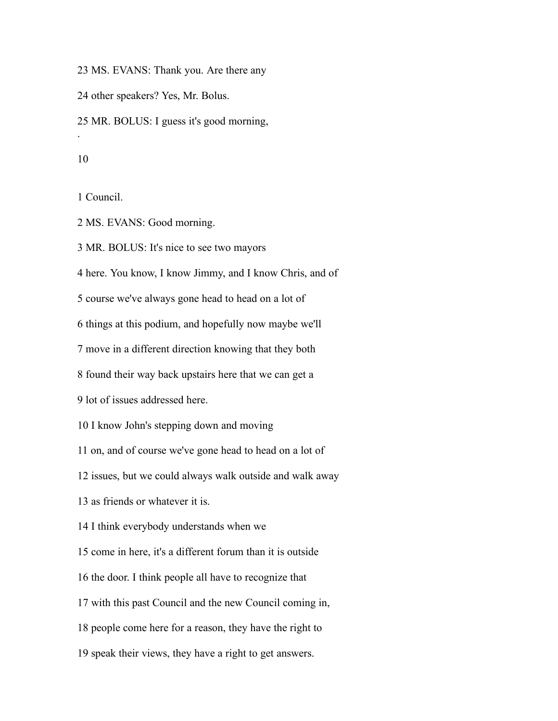MS. EVANS: Thank you. Are there any

other speakers? Yes, Mr. Bolus.

MR. BOLUS: I guess it's good morning,

#### 

.

Council.

MS. EVANS: Good morning.

MR. BOLUS: It's nice to see two mayors

here. You know, I know Jimmy, and I know Chris, and of

course we've always gone head to head on a lot of

things at this podium, and hopefully now maybe we'll

move in a different direction knowing that they both

found their way back upstairs here that we can get a

lot of issues addressed here.

I know John's stepping down and moving

on, and of course we've gone head to head on a lot of

issues, but we could always walk outside and walk away

as friends or whatever it is.

I think everybody understands when we

come in here, it's a different forum than it is outside

the door. I think people all have to recognize that

with this past Council and the new Council coming in,

people come here for a reason, they have the right to

speak their views, they have a right to get answers.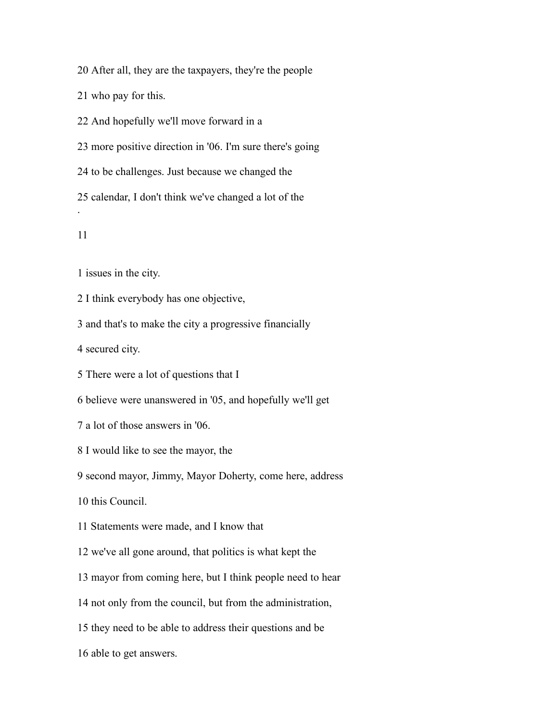After all, they are the taxpayers, they're the people

who pay for this.

And hopefully we'll move forward in a

more positive direction in '06. I'm sure there's going

to be challenges. Just because we changed the

 calendar, I don't think we've changed a lot of the .

issues in the city.

I think everybody has one objective,

and that's to make the city a progressive financially

secured city.

There were a lot of questions that I

believe were unanswered in '05, and hopefully we'll get

a lot of those answers in '06.

I would like to see the mayor, the

second mayor, Jimmy, Mayor Doherty, come here, address

this Council.

Statements were made, and I know that

we've all gone around, that politics is what kept the

mayor from coming here, but I think people need to hear

not only from the council, but from the administration,

they need to be able to address their questions and be

able to get answers.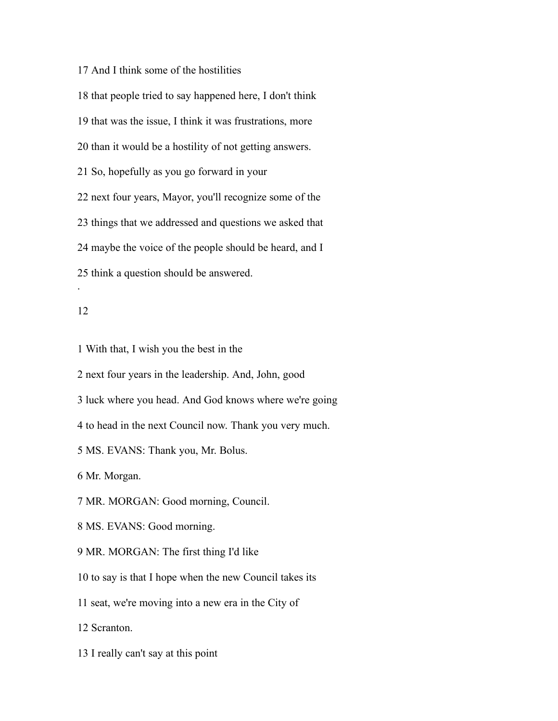And I think some of the hostilities

 that people tried to say happened here, I don't think that was the issue, I think it was frustrations, more than it would be a hostility of not getting answers. So, hopefully as you go forward in your next four years, Mayor, you'll recognize some of the things that we addressed and questions we asked that maybe the voice of the people should be heard, and I think a question should be answered.

## 

.

With that, I wish you the best in the

next four years in the leadership. And, John, good

luck where you head. And God knows where we're going

to head in the next Council now. Thank you very much.

MS. EVANS: Thank you, Mr. Bolus.

Mr. Morgan.

MR. MORGAN: Good morning, Council.

MS. EVANS: Good morning.

MR. MORGAN: The first thing I'd like

to say is that I hope when the new Council takes its

seat, we're moving into a new era in the City of

Scranton.

I really can't say at this point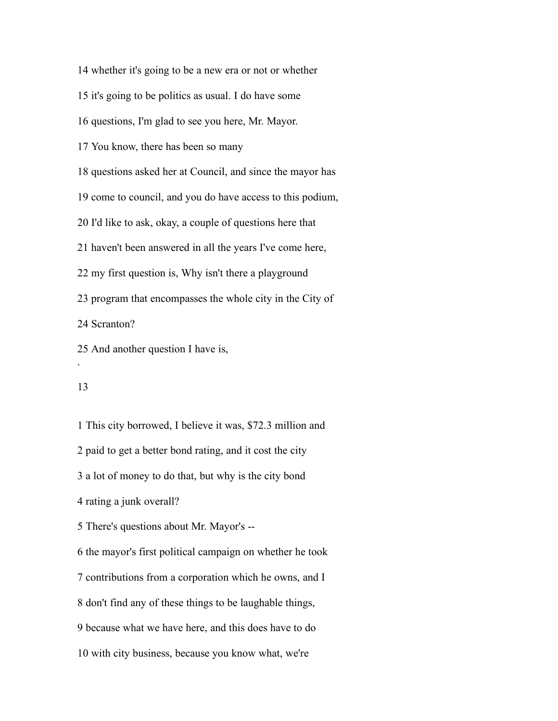whether it's going to be a new era or not or whether

it's going to be politics as usual. I do have some

questions, I'm glad to see you here, Mr. Mayor.

You know, there has been so many

questions asked her at Council, and since the mayor has

come to council, and you do have access to this podium,

I'd like to ask, okay, a couple of questions here that

haven't been answered in all the years I've come here,

my first question is, Why isn't there a playground

program that encompasses the whole city in the City of

Scranton?

And another question I have is,

#### 

.

 This city borrowed, I believe it was, \$72.3 million and paid to get a better bond rating, and it cost the city a lot of money to do that, but why is the city bond rating a junk overall? There's questions about Mr. Mayor's -- the mayor's first political campaign on whether he took contributions from a corporation which he owns, and I don't find any of these things to be laughable things, because what we have here, and this does have to do with city business, because you know what, we're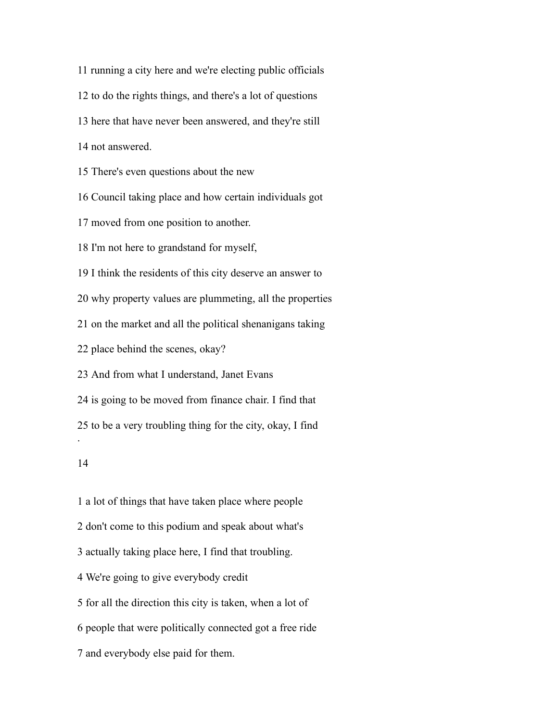running a city here and we're electing public officials to do the rights things, and there's a lot of questions here that have never been answered, and they're still not answered. There's even questions about the new Council taking place and how certain individuals got moved from one position to another. I'm not here to grandstand for myself, I think the residents of this city deserve an answer to why property values are plummeting, all the properties on the market and all the political shenanigans taking place behind the scenes, okay? And from what I understand, Janet Evans is going to be moved from finance chair. I find that to be a very troubling thing for the city, okay, I find . 

 a lot of things that have taken place where people don't come to this podium and speak about what's actually taking place here, I find that troubling. We're going to give everybody credit for all the direction this city is taken, when a lot of people that were politically connected got a free ride and everybody else paid for them.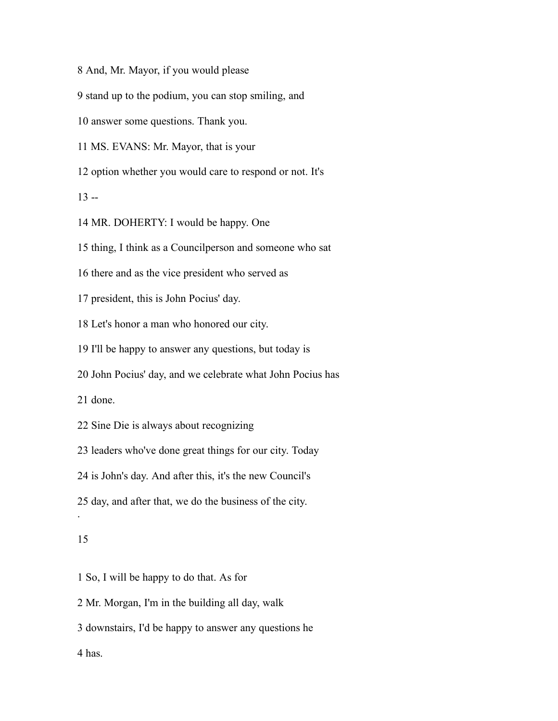And, Mr. Mayor, if you would please

stand up to the podium, you can stop smiling, and

answer some questions. Thank you.

MS. EVANS: Mr. Mayor, that is your

option whether you would care to respond or not. It's

 $13 -$ 

MR. DOHERTY: I would be happy. One

thing, I think as a Councilperson and someone who sat

there and as the vice president who served as

president, this is John Pocius' day.

Let's honor a man who honored our city.

I'll be happy to answer any questions, but today is

John Pocius' day, and we celebrate what John Pocius has

done.

Sine Die is always about recognizing

leaders who've done great things for our city. Today

is John's day. And after this, it's the new Council's

day, and after that, we do the business of the city.

#### 

.

So, I will be happy to do that. As for

Mr. Morgan, I'm in the building all day, walk

downstairs, I'd be happy to answer any questions he

has.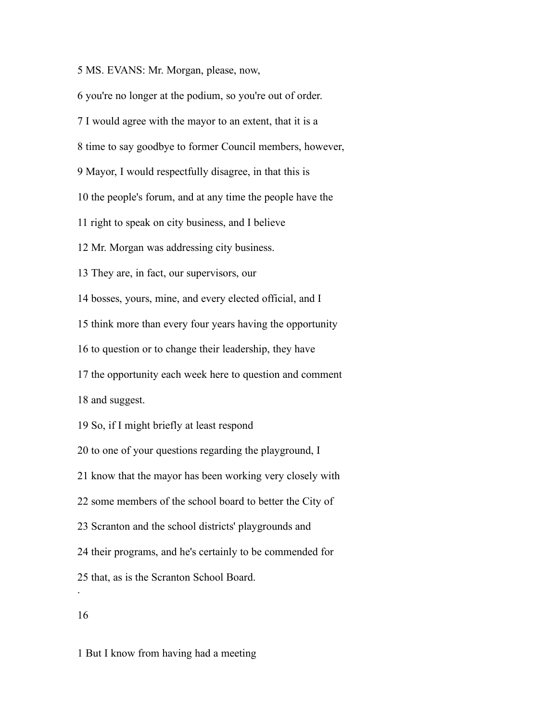MS. EVANS: Mr. Morgan, please, now,

you're no longer at the podium, so you're out of order.

I would agree with the mayor to an extent, that it is a

time to say goodbye to former Council members, however,

Mayor, I would respectfully disagree, in that this is

the people's forum, and at any time the people have the

right to speak on city business, and I believe

Mr. Morgan was addressing city business.

They are, in fact, our supervisors, our

bosses, yours, mine, and every elected official, and I

think more than every four years having the opportunity

to question or to change their leadership, they have

the opportunity each week here to question and comment

and suggest.

So, if I might briefly at least respond

to one of your questions regarding the playground, I

know that the mayor has been working very closely with

some members of the school board to better the City of

Scranton and the school districts' playgrounds and

their programs, and he's certainly to be commended for

that, as is the Scranton School Board.

.

But I know from having had a meeting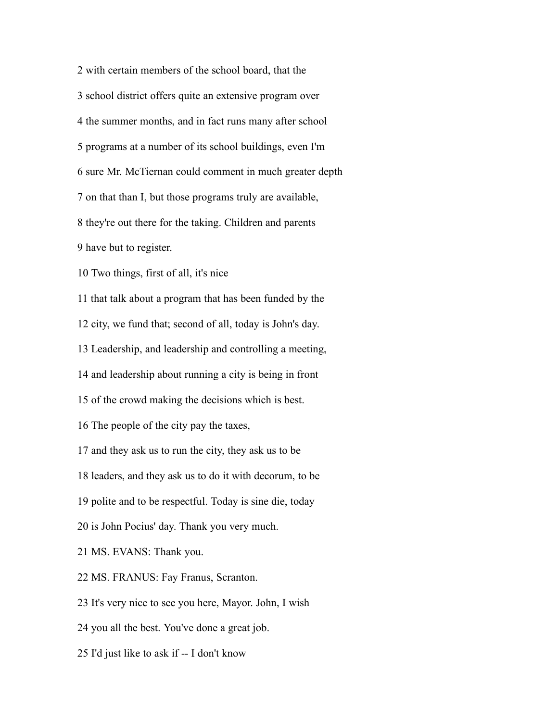with certain members of the school board, that the school district offers quite an extensive program over the summer months, and in fact runs many after school programs at a number of its school buildings, even I'm sure Mr. McTiernan could comment in much greater depth on that than I, but those programs truly are available, they're out there for the taking. Children and parents have but to register. Two things, first of all, it's nice that talk about a program that has been funded by the

city, we fund that; second of all, today is John's day.

Leadership, and leadership and controlling a meeting,

and leadership about running a city is being in front

of the crowd making the decisions which is best.

The people of the city pay the taxes,

and they ask us to run the city, they ask us to be

leaders, and they ask us to do it with decorum, to be

polite and to be respectful. Today is sine die, today

is John Pocius' day. Thank you very much.

MS. EVANS: Thank you.

MS. FRANUS: Fay Franus, Scranton.

It's very nice to see you here, Mayor. John, I wish

you all the best. You've done a great job.

I'd just like to ask if -- I don't know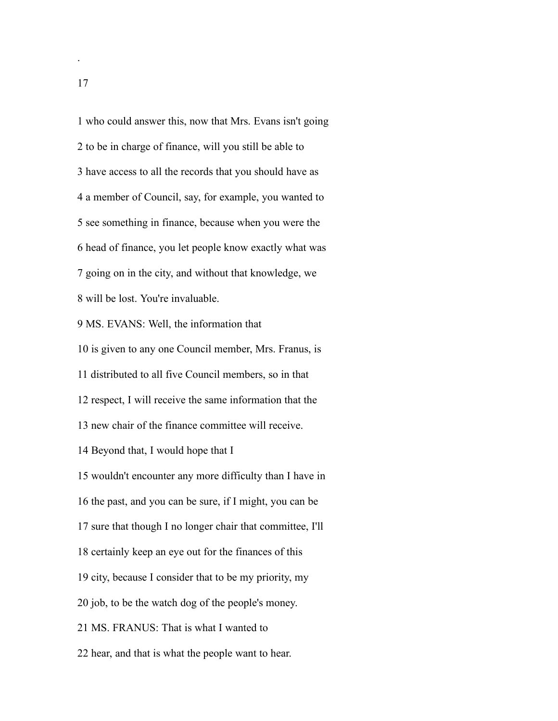who could answer this, now that Mrs. Evans isn't going to be in charge of finance, will you still be able to have access to all the records that you should have as a member of Council, say, for example, you wanted to see something in finance, because when you were the head of finance, you let people know exactly what was going on in the city, and without that knowledge, we will be lost. You're invaluable. MS. EVANS: Well, the information that is given to any one Council member, Mrs. Franus, is distributed to all five Council members, so in that respect, I will receive the same information that the new chair of the finance committee will receive. Beyond that, I would hope that I wouldn't encounter any more difficulty than I have in the past, and you can be sure, if I might, you can be sure that though I no longer chair that committee, I'll certainly keep an eye out for the finances of this city, because I consider that to be my priority, my job, to be the watch dog of the people's money. MS. FRANUS: That is what I wanted to

hear, and that is what the people want to hear.

.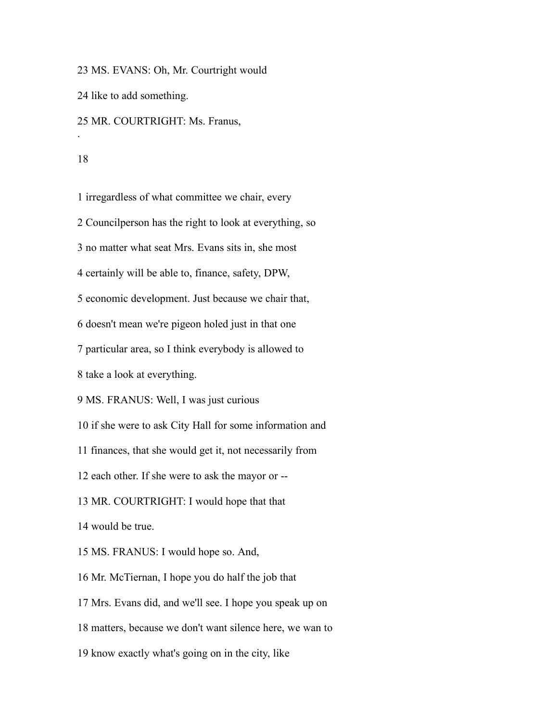MS. EVANS: Oh, Mr. Courtright would

like to add something.

MR. COURTRIGHT: Ms. Franus,

.

irregardless of what committee we chair, every

Councilperson has the right to look at everything, so

no matter what seat Mrs. Evans sits in, she most

certainly will be able to, finance, safety, DPW,

economic development. Just because we chair that,

doesn't mean we're pigeon holed just in that one

particular area, so I think everybody is allowed to

take a look at everything.

MS. FRANUS: Well, I was just curious

if she were to ask City Hall for some information and

finances, that she would get it, not necessarily from

each other. If she were to ask the mayor or --

MR. COURTRIGHT: I would hope that that

would be true.

MS. FRANUS: I would hope so. And,

Mr. McTiernan, I hope you do half the job that

Mrs. Evans did, and we'll see. I hope you speak up on

matters, because we don't want silence here, we wan to

know exactly what's going on in the city, like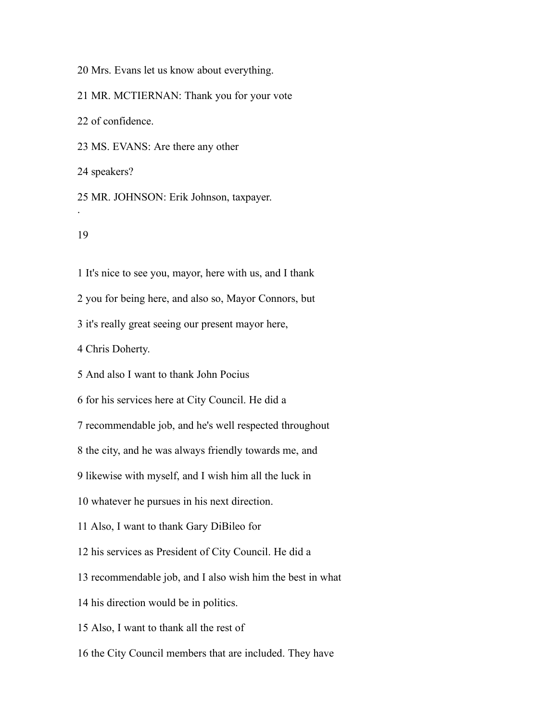Mrs. Evans let us know about everything.

MR. MCTIERNAN: Thank you for your vote

of confidence.

MS. EVANS: Are there any other

speakers?

 MR. JOHNSON: Erik Johnson, taxpayer. .

It's nice to see you, mayor, here with us, and I thank

you for being here, and also so, Mayor Connors, but

it's really great seeing our present mayor here,

Chris Doherty.

And also I want to thank John Pocius

for his services here at City Council. He did a

recommendable job, and he's well respected throughout

the city, and he was always friendly towards me, and

likewise with myself, and I wish him all the luck in

whatever he pursues in his next direction.

Also, I want to thank Gary DiBileo for

his services as President of City Council. He did a

recommendable job, and I also wish him the best in what

his direction would be in politics.

Also, I want to thank all the rest of

the City Council members that are included. They have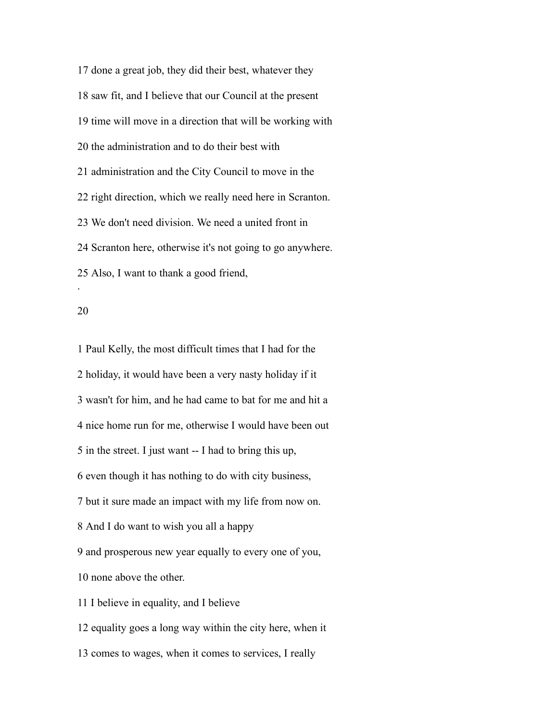done a great job, they did their best, whatever they saw fit, and I believe that our Council at the present time will move in a direction that will be working with the administration and to do their best with administration and the City Council to move in the right direction, which we really need here in Scranton. We don't need division. We need a united front in Scranton here, otherwise it's not going to go anywhere. Also, I want to thank a good friend, .

 Paul Kelly, the most difficult times that I had for the holiday, it would have been a very nasty holiday if it wasn't for him, and he had came to bat for me and hit a nice home run for me, otherwise I would have been out in the street. I just want -- I had to bring this up, even though it has nothing to do with city business, but it sure made an impact with my life from now on. And I do want to wish you all a happy and prosperous new year equally to every one of you, none above the other. I believe in equality, and I believe equality goes a long way within the city here, when it

comes to wages, when it comes to services, I really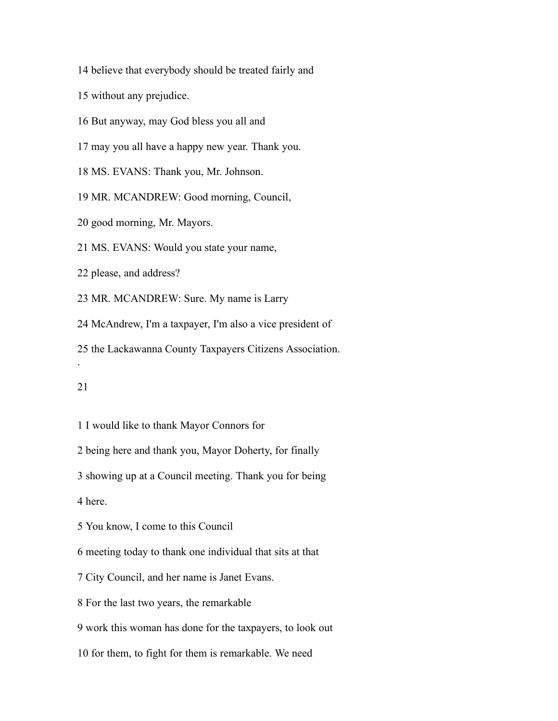believe that everybody should be treated fairly and

without any prejudice.

But anyway, may God bless you all and

may you all have a happy new year. Thank you.

MS. EVANS: Thank you, Mr. Johnson.

MR. MCANDREW: Good morning, Council,

good morning, Mr. Mayors.

MS. EVANS: Would you state your name,

please, and address?

MR. MCANDREW: Sure. My name is Larry

McAndrew, I'm a taxpayer, I'm also a vice president of

the Lackawanna County Taxpayers Citizens Association.

.

I would like to thank Mayor Connors for

being here and thank you, Mayor Doherty, for finally

showing up at a Council meeting. Thank you for being

here.

You know, I come to this Council

meeting today to thank one individual that sits at that

City Council, and her name is Janet Evans.

For the last two years, the remarkable

work this woman has done for the taxpayers, to look out

for them, to fight for them is remarkable. We need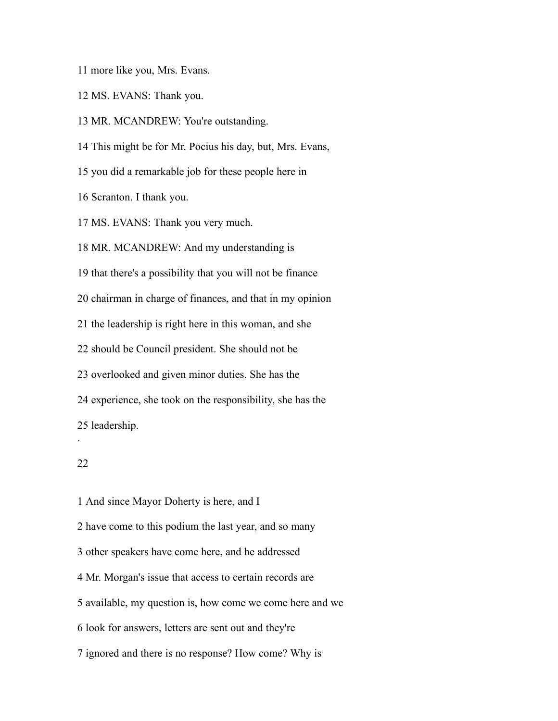more like you, Mrs. Evans.

MS. EVANS: Thank you.

MR. MCANDREW: You're outstanding.

This might be for Mr. Pocius his day, but, Mrs. Evans,

you did a remarkable job for these people here in

Scranton. I thank you.

MS. EVANS: Thank you very much.

MR. MCANDREW: And my understanding is

that there's a possibility that you will not be finance

chairman in charge of finances, and that in my opinion

the leadership is right here in this woman, and she

should be Council president. She should not be

overlooked and given minor duties. She has the

experience, she took on the responsibility, she has the

leadership.

## 

.

 And since Mayor Doherty is here, and I have come to this podium the last year, and so many other speakers have come here, and he addressed Mr. Morgan's issue that access to certain records are available, my question is, how come we come here and we look for answers, letters are sent out and they're ignored and there is no response? How come? Why is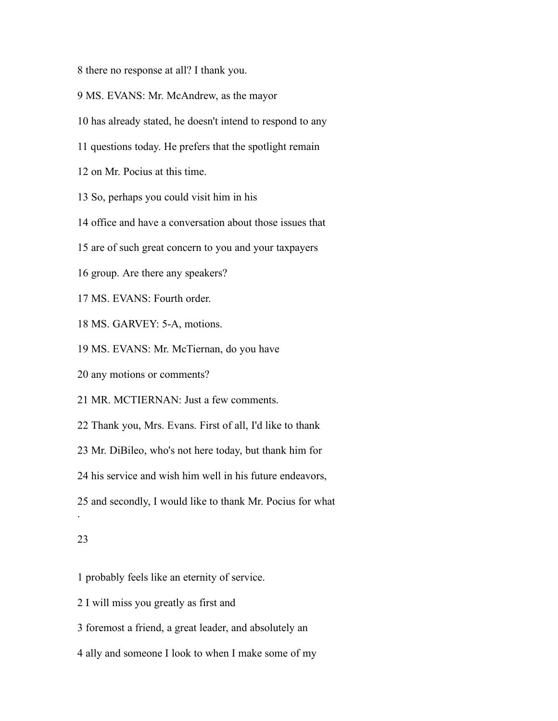there no response at all? I thank you.

MS. EVANS: Mr. McAndrew, as the mayor

has already stated, he doesn't intend to respond to any

questions today. He prefers that the spotlight remain

on Mr. Pocius at this time.

So, perhaps you could visit him in his

office and have a conversation about those issues that

are of such great concern to you and your taxpayers

group. Are there any speakers?

MS. EVANS: Fourth order.

MS. GARVEY: 5-A, motions.

MS. EVANS: Mr. McTiernan, do you have

any motions or comments?

MR. MCTIERNAN: Just a few comments.

Thank you, Mrs. Evans. First of all, I'd like to thank

Mr. DiBileo, who's not here today, but thank him for

his service and wish him well in his future endeavors,

and secondly, I would like to thank Mr. Pocius for what

#### 

.

probably feels like an eternity of service.

I will miss you greatly as first and

foremost a friend, a great leader, and absolutely an

ally and someone I look to when I make some of my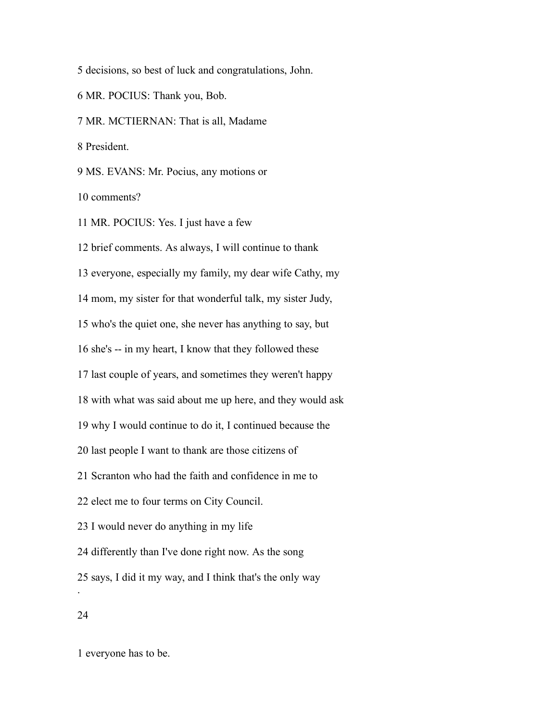decisions, so best of luck and congratulations, John.

MR. POCIUS: Thank you, Bob.

MR. MCTIERNAN: That is all, Madame

President.

MS. EVANS: Mr. Pocius, any motions or

comments?

MR. POCIUS: Yes. I just have a few

 brief comments. As always, I will continue to thank everyone, especially my family, my dear wife Cathy, my mom, my sister for that wonderful talk, my sister Judy, who's the quiet one, she never has anything to say, but she's -- in my heart, I know that they followed these last couple of years, and sometimes they weren't happy with what was said about me up here, and they would ask why I would continue to do it, I continued because the last people I want to thank are those citizens of Scranton who had the faith and confidence in me to elect me to four terms on City Council. I would never do anything in my life differently than I've done right now. As the song says, I did it my way, and I think that's the only way .

everyone has to be.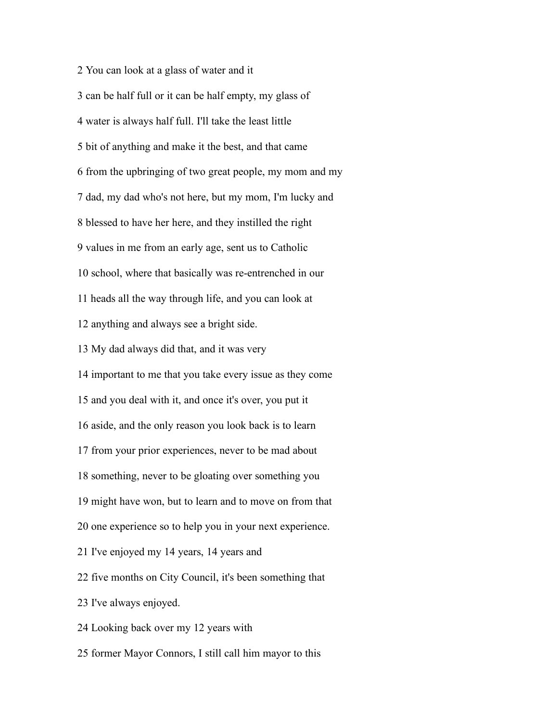You can look at a glass of water and it can be half full or it can be half empty, my glass of water is always half full. I'll take the least little bit of anything and make it the best, and that came from the upbringing of two great people, my mom and my dad, my dad who's not here, but my mom, I'm lucky and blessed to have her here, and they instilled the right values in me from an early age, sent us to Catholic school, where that basically was re-entrenched in our heads all the way through life, and you can look at anything and always see a bright side. My dad always did that, and it was very important to me that you take every issue as they come and you deal with it, and once it's over, you put it aside, and the only reason you look back is to learn from your prior experiences, never to be mad about something, never to be gloating over something you might have won, but to learn and to move on from that one experience so to help you in your next experience. I've enjoyed my 14 years, 14 years and five months on City Council, it's been something that I've always enjoyed. Looking back over my 12 years with former Mayor Connors, I still call him mayor to this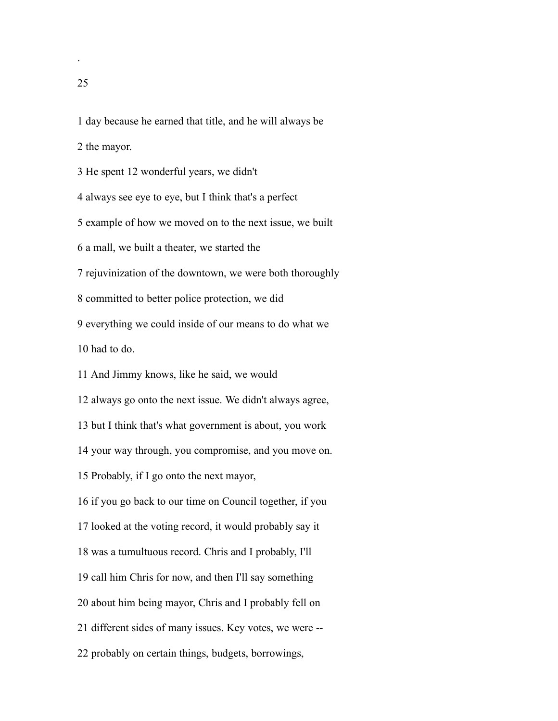.

day because he earned that title, and he will always be

the mayor.

He spent 12 wonderful years, we didn't

always see eye to eye, but I think that's a perfect

example of how we moved on to the next issue, we built

a mall, we built a theater, we started the

rejuvinization of the downtown, we were both thoroughly

committed to better police protection, we did

 everything we could inside of our means to do what we had to do.

And Jimmy knows, like he said, we would

always go onto the next issue. We didn't always agree,

but I think that's what government is about, you work

your way through, you compromise, and you move on.

Probably, if I go onto the next mayor,

if you go back to our time on Council together, if you

looked at the voting record, it would probably say it

was a tumultuous record. Chris and I probably, I'll

call him Chris for now, and then I'll say something

about him being mayor, Chris and I probably fell on

different sides of many issues. Key votes, we were --

probably on certain things, budgets, borrowings,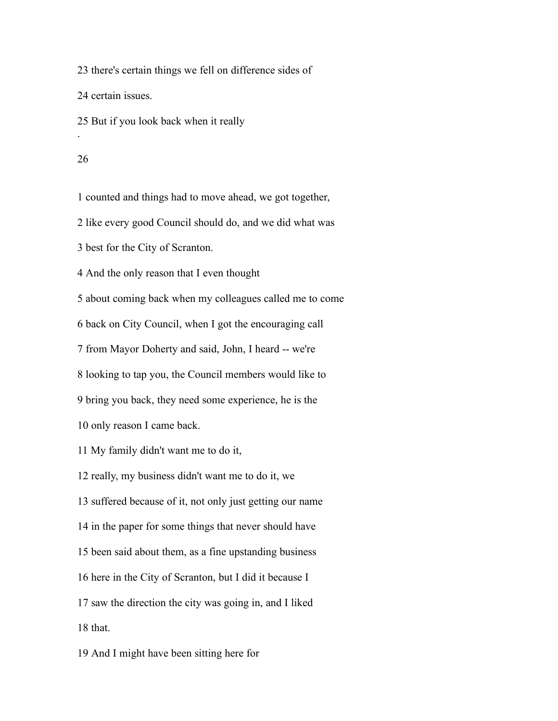there's certain things we fell on difference sides of

certain issues.

But if you look back when it really

#### 

.

counted and things had to move ahead, we got together,

like every good Council should do, and we did what was

best for the City of Scranton.

And the only reason that I even thought

about coming back when my colleagues called me to come

back on City Council, when I got the encouraging call

from Mayor Doherty and said, John, I heard -- we're

looking to tap you, the Council members would like to

bring you back, they need some experience, he is the

only reason I came back.

My family didn't want me to do it,

really, my business didn't want me to do it, we

suffered because of it, not only just getting our name

in the paper for some things that never should have

been said about them, as a fine upstanding business

here in the City of Scranton, but I did it because I

 saw the direction the city was going in, and I liked that.

And I might have been sitting here for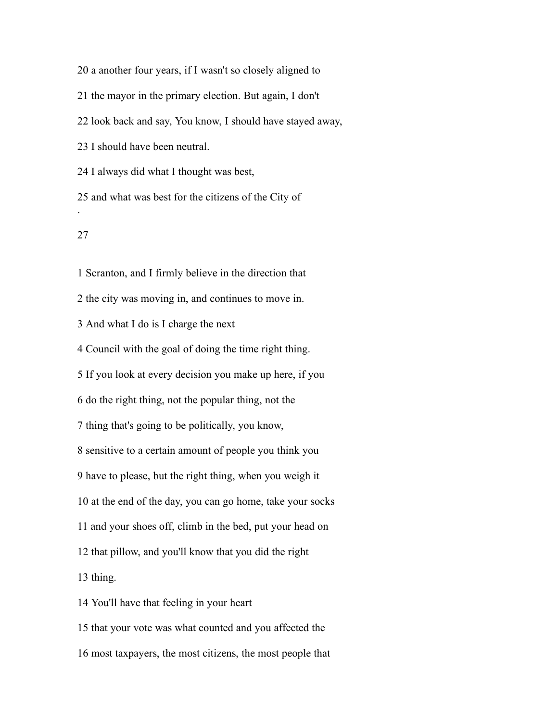a another four years, if I wasn't so closely aligned to

the mayor in the primary election. But again, I don't

look back and say, You know, I should have stayed away,

I should have been neutral.

I always did what I thought was best,

 and what was best for the citizens of the City of .

## 

 Scranton, and I firmly believe in the direction that the city was moving in, and continues to move in. And what I do is I charge the next Council with the goal of doing the time right thing. If you look at every decision you make up here, if you do the right thing, not the popular thing, not the thing that's going to be politically, you know, sensitive to a certain amount of people you think you have to please, but the right thing, when you weigh it at the end of the day, you can go home, take your socks and your shoes off, climb in the bed, put your head on that pillow, and you'll know that you did the right thing. You'll have that feeling in your heart that your vote was what counted and you affected the

most taxpayers, the most citizens, the most people that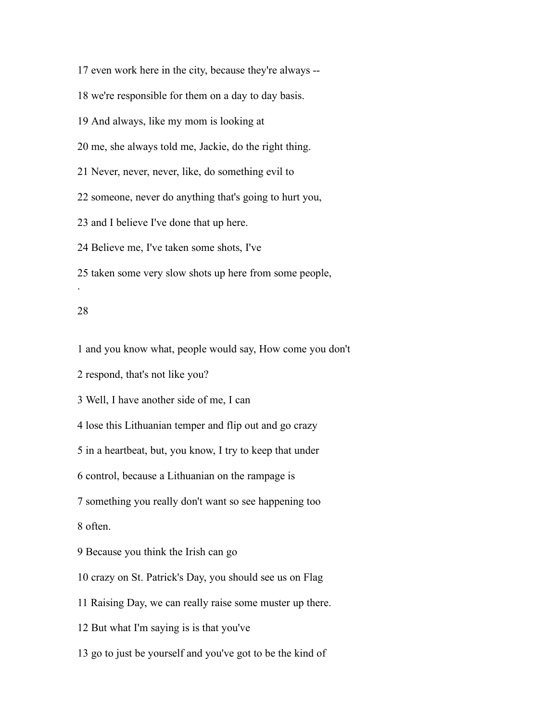even work here in the city, because they're always -- we're responsible for them on a day to day basis. And always, like my mom is looking at me, she always told me, Jackie, do the right thing. Never, never, never, like, do something evil to someone, never do anything that's going to hurt you, and I believe I've done that up here. Believe me, I've taken some shots, I've taken some very slow shots up here from some people, . 

# and you know what, people would say, How come you don't

respond, that's not like you?

Well, I have another side of me, I can

lose this Lithuanian temper and flip out and go crazy

in a heartbeat, but, you know, I try to keep that under

control, because a Lithuanian on the rampage is

something you really don't want so see happening too

often.

Because you think the Irish can go

crazy on St. Patrick's Day, you should see us on Flag

Raising Day, we can really raise some muster up there.

But what I'm saying is is that you've

go to just be yourself and you've got to be the kind of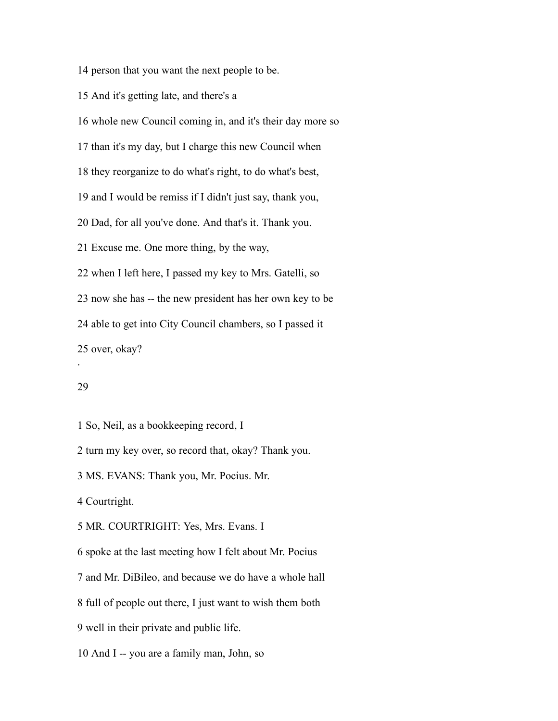person that you want the next people to be.

And it's getting late, and there's a

whole new Council coming in, and it's their day more so

than it's my day, but I charge this new Council when

they reorganize to do what's right, to do what's best,

and I would be remiss if I didn't just say, thank you,

Dad, for all you've done. And that's it. Thank you.

Excuse me. One more thing, by the way,

when I left here, I passed my key to Mrs. Gatelli, so

now she has -- the new president has her own key to be

able to get into City Council chambers, so I passed it

over, okay?

#### 

.

So, Neil, as a bookkeeping record, I

turn my key over, so record that, okay? Thank you.

MS. EVANS: Thank you, Mr. Pocius. Mr.

Courtright.

MR. COURTRIGHT: Yes, Mrs. Evans. I

spoke at the last meeting how I felt about Mr. Pocius

and Mr. DiBileo, and because we do have a whole hall

full of people out there, I just want to wish them both

well in their private and public life.

And I -- you are a family man, John, so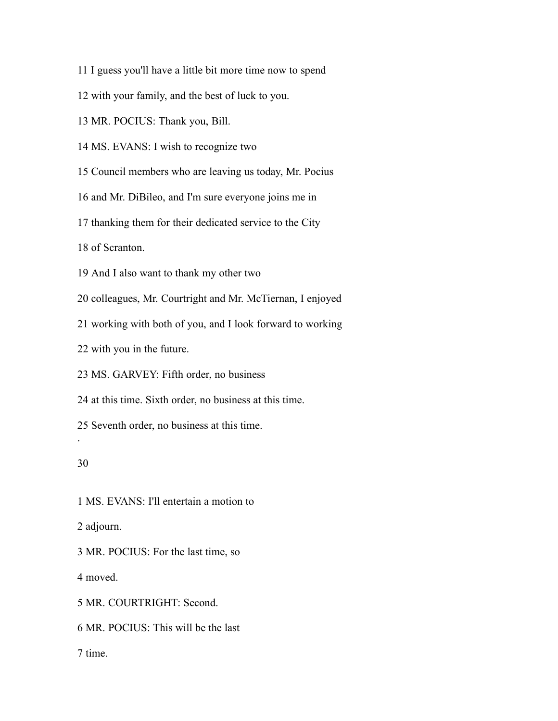I guess you'll have a little bit more time now to spend

with your family, and the best of luck to you.

MR. POCIUS: Thank you, Bill.

MS. EVANS: I wish to recognize two

Council members who are leaving us today, Mr. Pocius

and Mr. DiBileo, and I'm sure everyone joins me in

thanking them for their dedicated service to the City

of Scranton.

And I also want to thank my other two

colleagues, Mr. Courtright and Mr. McTiernan, I enjoyed

working with both of you, and I look forward to working

with you in the future.

MS. GARVEY: Fifth order, no business

at this time. Sixth order, no business at this time.

Seventh order, no business at this time.

## 

.

 MS. EVANS: I'll entertain a motion to adjourn. MR. POCIUS: For the last time, so moved. MR. COURTRIGHT: Second.

MR. POCIUS: This will be the last

time.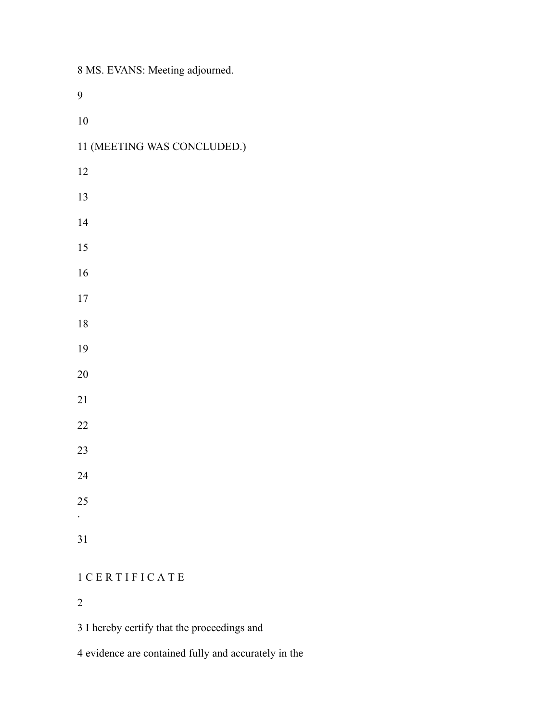MS. EVANS: Meeting adjourned.

| 10                          |
|-----------------------------|
| 11 (MEETING WAS CONCLUDED.) |
| 12                          |
| 13                          |
| 14                          |
| 15                          |
| 16                          |
| $17\,$                      |
| 18                          |
| 19                          |
| 20                          |
| 21                          |
| 22                          |
| 23                          |
| 24                          |
| 25                          |
|                             |
| 31                          |
|                             |

## C E R T I F I C A T E

I hereby certify that the proceedings and

evidence are contained fully and accurately in the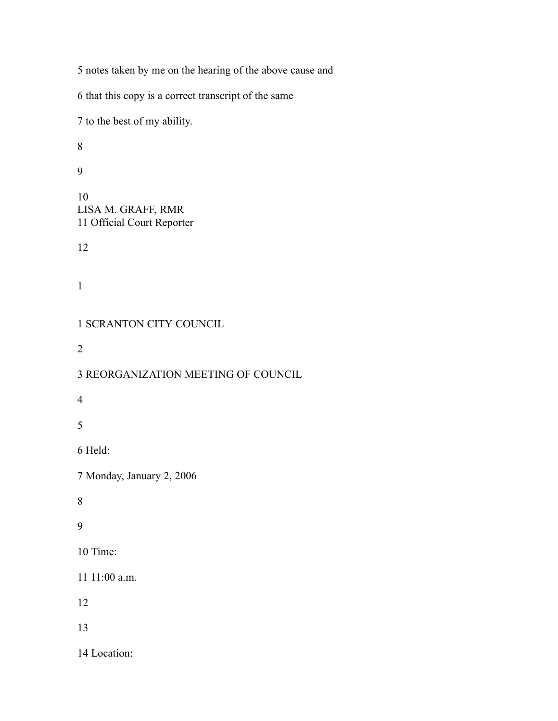notes taken by me on the hearing of the above cause and that this copy is a correct transcript of the same to the best of my ability. LISA M. GRAFF, RMR Official Court Reporter SCRANTON CITY COUNCIL REORGANIZATION MEETING OF COUNCIL Held: Monday, January 2, 2006 Time: 11:00 a.m. Location: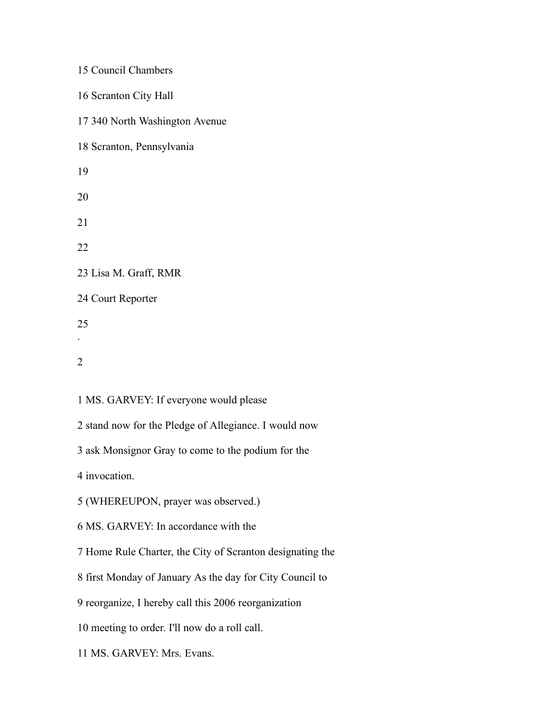| 15 Council Chambers                                       |
|-----------------------------------------------------------|
| 16 Scranton City Hall                                     |
| 17 340 North Washington Avenue                            |
| 18 Scranton, Pennsylvania                                 |
| 19                                                        |
| 20                                                        |
| 21                                                        |
| 22                                                        |
| 23 Lisa M. Graff, RMR                                     |
| 24 Court Reporter                                         |
| 25                                                        |
| 2                                                         |
|                                                           |
| 1 MS. GARVEY: If everyone would please                    |
| 2 stand now for the Pledge of Allegiance. I would now     |
| 3 ask Monsignor Gray to come to the podium for the        |
| 4 invocation.                                             |
| 5 (WHEREUPON, prayer was observed.)                       |
| 6 MS. GARVEY: In accordance with the                      |
| 7 Home Rule Charter, the City of Scranton designating the |
| 8 first Monday of January As the day for City Council to  |
| 9 reorganize, I hereby call this 2006 reorganization      |
| 10 meeting to order. I'll now do a roll call.             |
| 11 MS. GARVEY: Mrs. Evans.                                |
|                                                           |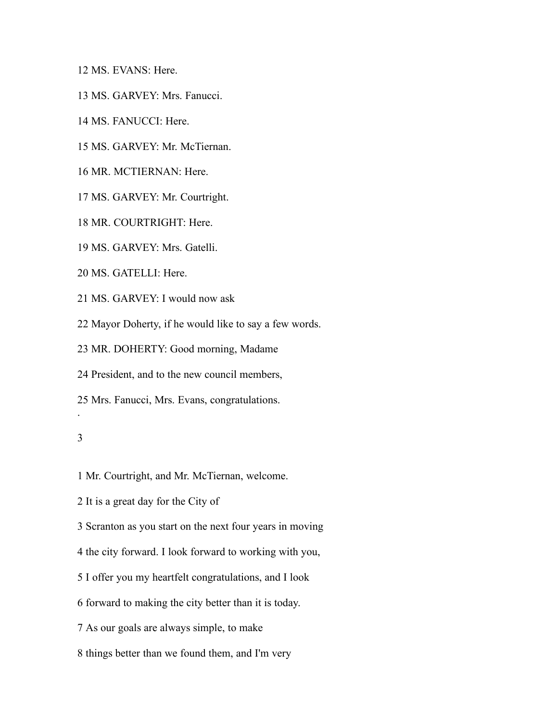MS. EVANS: Here.

- MS. GARVEY: Mrs. Fanucci.
- MS. FANUCCI: Here.
- MS. GARVEY: Mr. McTiernan.
- MR. MCTIERNAN: Here.
- MS. GARVEY: Mr. Courtright.
- MR. COURTRIGHT: Here.
- MS. GARVEY: Mrs. Gatelli.
- MS. GATELLI: Here.
- MS. GARVEY: I would now ask
- Mayor Doherty, if he would like to say a few words.
- MR. DOHERTY: Good morning, Madame
- President, and to the new council members,
- Mrs. Fanucci, Mrs. Evans, congratulations.

#### 

.

- Mr. Courtright, and Mr. McTiernan, welcome.
- It is a great day for the City of
- Scranton as you start on the next four years in moving
- the city forward. I look forward to working with you,
- I offer you my heartfelt congratulations, and I look
- forward to making the city better than it is today.
- As our goals are always simple, to make
- things better than we found them, and I'm very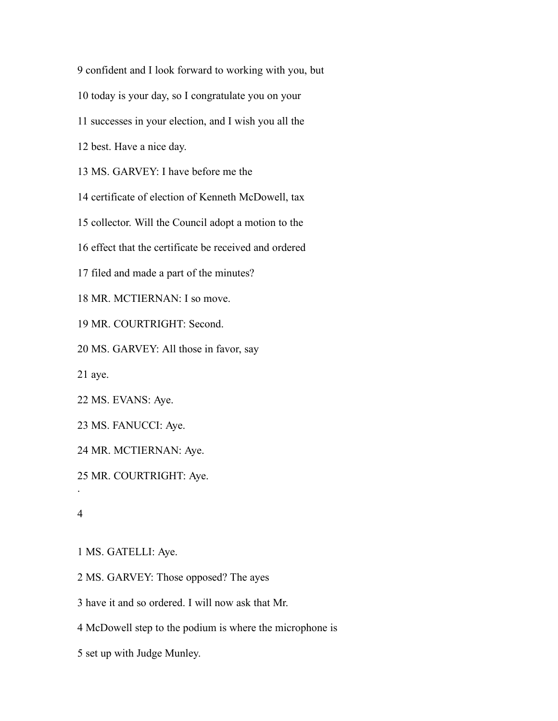confident and I look forward to working with you, but

today is your day, so I congratulate you on your

successes in your election, and I wish you all the

best. Have a nice day.

MS. GARVEY: I have before me the

certificate of election of Kenneth McDowell, tax

collector. Will the Council adopt a motion to the

effect that the certificate be received and ordered

filed and made a part of the minutes?

MR. MCTIERNAN: I so move.

MR. COURTRIGHT: Second.

MS. GARVEY: All those in favor, say

aye.

MS. EVANS: Aye.

MS. FANUCCI: Aye.

MR. MCTIERNAN: Aye.

MR. COURTRIGHT: Aye.

.

MS. GATELLI: Aye.

MS. GARVEY: Those opposed? The ayes

have it and so ordered. I will now ask that Mr.

McDowell step to the podium is where the microphone is

set up with Judge Munley.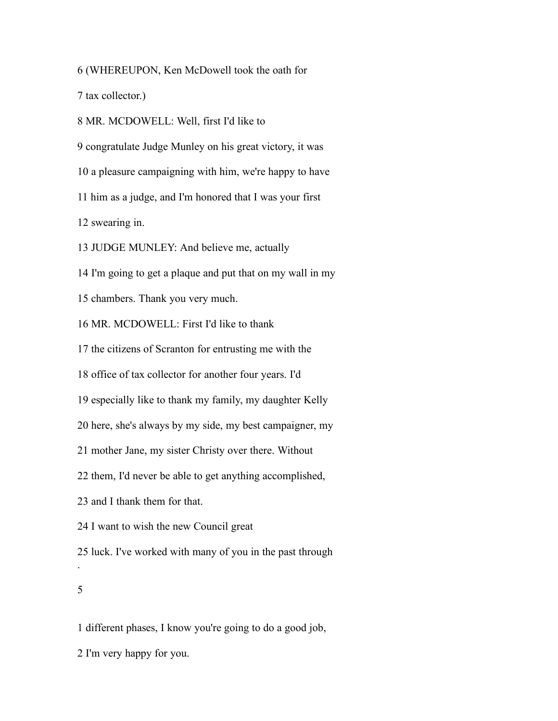(WHEREUPON, Ken McDowell took the oath for

tax collector.)

MR. MCDOWELL: Well, first I'd like to

congratulate Judge Munley on his great victory, it was

a pleasure campaigning with him, we're happy to have

him as a judge, and I'm honored that I was your first

swearing in.

JUDGE MUNLEY: And believe me, actually

I'm going to get a plaque and put that on my wall in my

chambers. Thank you very much.

MR. MCDOWELL: First I'd like to thank

the citizens of Scranton for entrusting me with the

office of tax collector for another four years. I'd

especially like to thank my family, my daughter Kelly

here, she's always by my side, my best campaigner, my

mother Jane, my sister Christy over there. Without

them, I'd never be able to get anything accomplished,

and I thank them for that.

I want to wish the new Council great

 luck. I've worked with many of you in the past through .

### 

different phases, I know you're going to do a good job,

I'm very happy for you.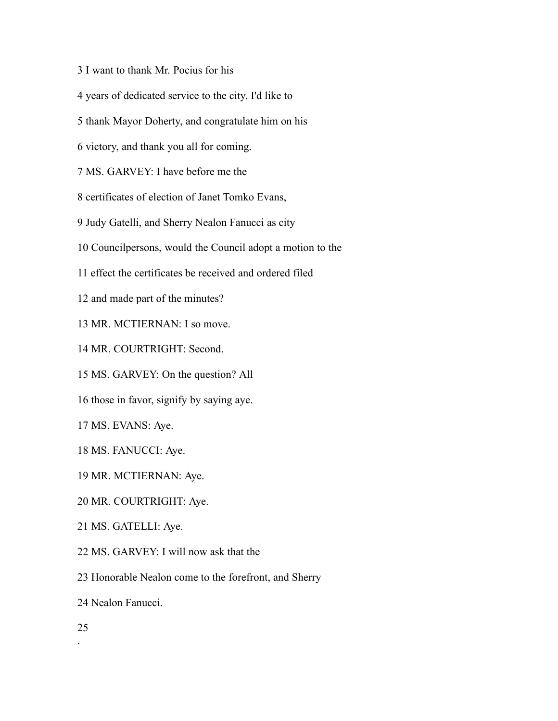- I want to thank Mr. Pocius for his
- years of dedicated service to the city. I'd like to
- thank Mayor Doherty, and congratulate him on his
- victory, and thank you all for coming.
- MS. GARVEY: I have before me the
- certificates of election of Janet Tomko Evans,
- Judy Gatelli, and Sherry Nealon Fanucci as city
- Councilpersons, would the Council adopt a motion to the
- effect the certificates be received and ordered filed
- and made part of the minutes?
- MR. MCTIERNAN: I so move.
- MR. COURTRIGHT: Second.
- MS. GARVEY: On the question? All
- those in favor, signify by saying aye.
- MS. EVANS: Aye.
- MS. FANUCCI: Aye.
- MR. MCTIERNAN: Aye.
- MR. COURTRIGHT: Aye.
- MS. GATELLI: Aye.
- MS. GARVEY: I will now ask that the
- Honorable Nealon come to the forefront, and Sherry
- Nealon Fanucci.
- .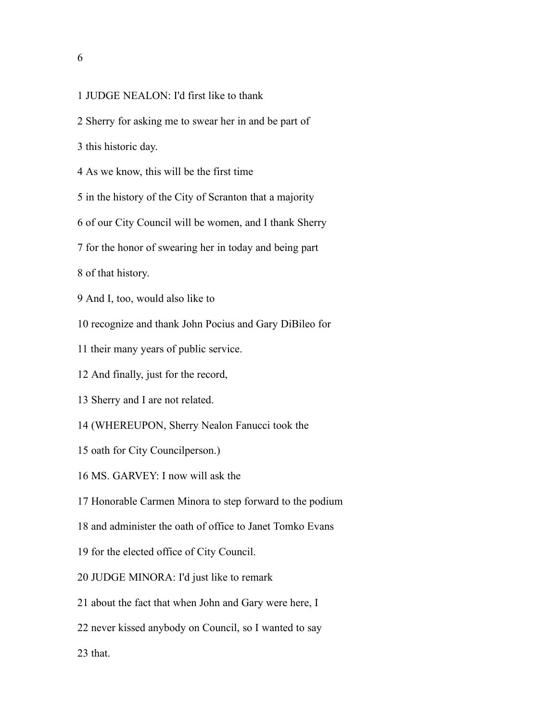## 

## JUDGE NEALON: I'd first like to thank

- Sherry for asking me to swear her in and be part of
- this historic day.
- As we know, this will be the first time
- in the history of the City of Scranton that a majority
- of our City Council will be women, and I thank Sherry
- for the honor of swearing her in today and being part

of that history.

- And I, too, would also like to
- recognize and thank John Pocius and Gary DiBileo for
- their many years of public service.
- And finally, just for the record,
- Sherry and I are not related.
- (WHEREUPON, Sherry Nealon Fanucci took the
- oath for City Councilperson.)
- MS. GARVEY: I now will ask the
- Honorable Carmen Minora to step forward to the podium
- and administer the oath of office to Janet Tomko Evans
- for the elected office of City Council.
- JUDGE MINORA: I'd just like to remark
- about the fact that when John and Gary were here, I
- never kissed anybody on Council, so I wanted to say
- that.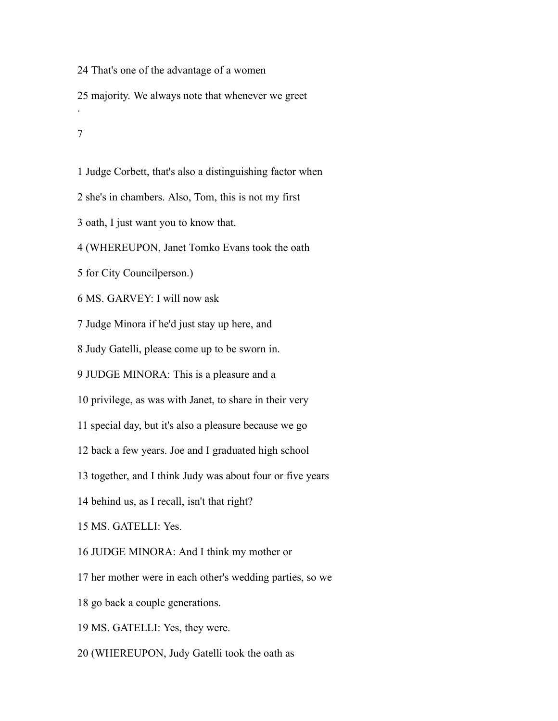That's one of the advantage of a women majority. We always note that whenever we greet

.

Judge Corbett, that's also a distinguishing factor when

she's in chambers. Also, Tom, this is not my first

oath, I just want you to know that.

(WHEREUPON, Janet Tomko Evans took the oath

for City Councilperson.)

MS. GARVEY: I will now ask

Judge Minora if he'd just stay up here, and

Judy Gatelli, please come up to be sworn in.

JUDGE MINORA: This is a pleasure and a

privilege, as was with Janet, to share in their very

special day, but it's also a pleasure because we go

back a few years. Joe and I graduated high school

together, and I think Judy was about four or five years

behind us, as I recall, isn't that right?

MS. GATELLI: Yes.

JUDGE MINORA: And I think my mother or

her mother were in each other's wedding parties, so we

go back a couple generations.

MS. GATELLI: Yes, they were.

(WHEREUPON, Judy Gatelli took the oath as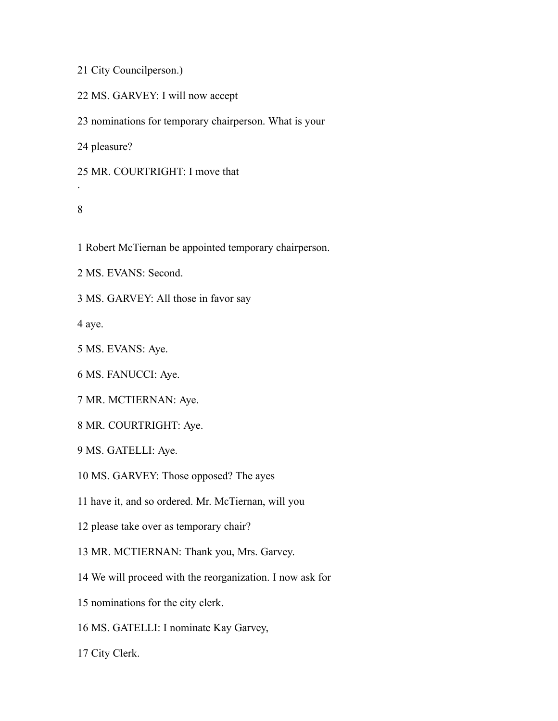City Councilperson.)

MS. GARVEY: I will now accept

nominations for temporary chairperson. What is your

pleasure?

MR. COURTRIGHT: I move that

## 

.

Robert McTiernan be appointed temporary chairperson.

MS. EVANS: Second.

MS. GARVEY: All those in favor say

aye.

MS. EVANS: Aye.

MS. FANUCCI: Aye.

MR. MCTIERNAN: Aye.

MR. COURTRIGHT: Aye.

MS. GATELLI: Aye.

MS. GARVEY: Those opposed? The ayes

have it, and so ordered. Mr. McTiernan, will you

please take over as temporary chair?

MR. MCTIERNAN: Thank you, Mrs. Garvey.

We will proceed with the reorganization. I now ask for

nominations for the city clerk.

MS. GATELLI: I nominate Kay Garvey,

City Clerk.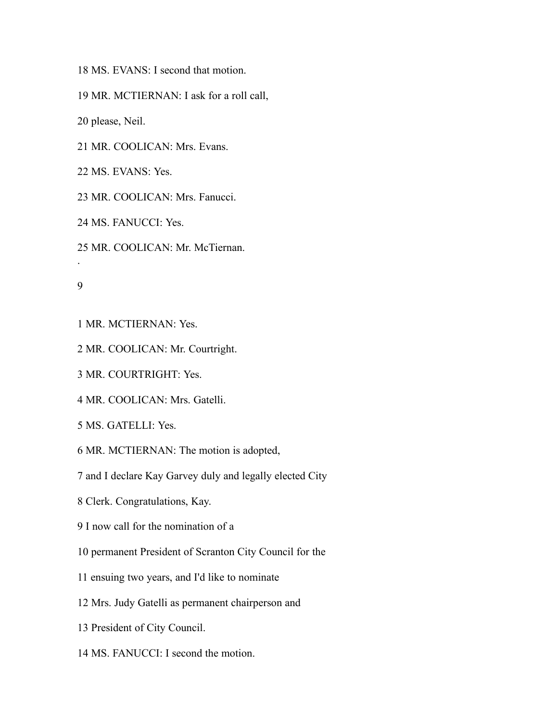MS. EVANS: I second that motion.

MR. MCTIERNAN: I ask for a roll call,

please, Neil.

MR. COOLICAN: Mrs. Evans.

MS. EVANS: Yes.

MR. COOLICAN: Mrs. Fanucci.

MS. FANUCCI: Yes.

MR. COOLICAN: Mr. McTiernan.

.

MR. MCTIERNAN: Yes.

MR. COOLICAN: Mr. Courtright.

MR. COURTRIGHT: Yes.

MR. COOLICAN: Mrs. Gatelli.

MS. GATELLI: Yes.

MR. MCTIERNAN: The motion is adopted,

and I declare Kay Garvey duly and legally elected City

Clerk. Congratulations, Kay.

I now call for the nomination of a

permanent President of Scranton City Council for the

ensuing two years, and I'd like to nominate

Mrs. Judy Gatelli as permanent chairperson and

President of City Council.

MS. FANUCCI: I second the motion.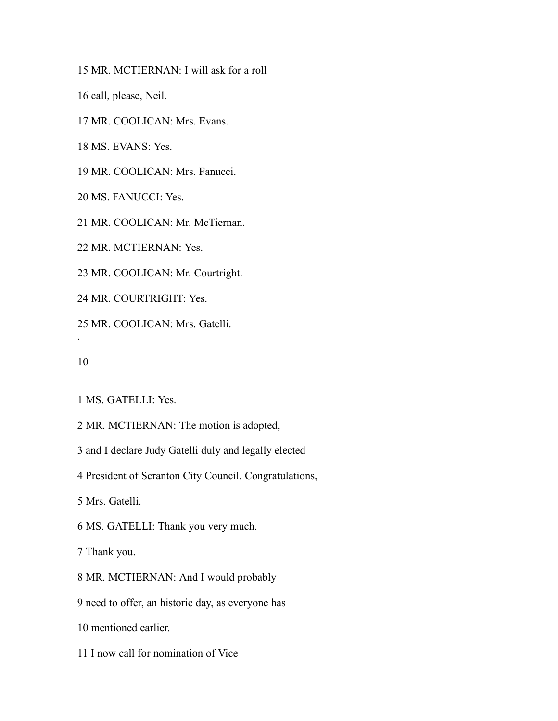MR. MCTIERNAN: I will ask for a roll

call, please, Neil.

MR. COOLICAN: Mrs. Evans.

MS. EVANS: Yes.

MR. COOLICAN: Mrs. Fanucci.

MS. FANUCCI: Yes.

MR. COOLICAN: Mr. McTiernan.

MR. MCTIERNAN: Yes.

MR. COOLICAN: Mr. Courtright.

MR. COURTRIGHT: Yes.

MR. COOLICAN: Mrs. Gatelli.

.

MS. GATELLI: Yes.

MR. MCTIERNAN: The motion is adopted,

and I declare Judy Gatelli duly and legally elected

President of Scranton City Council. Congratulations,

Mrs. Gatelli.

MS. GATELLI: Thank you very much.

Thank you.

MR. MCTIERNAN: And I would probably

need to offer, an historic day, as everyone has

mentioned earlier.

I now call for nomination of Vice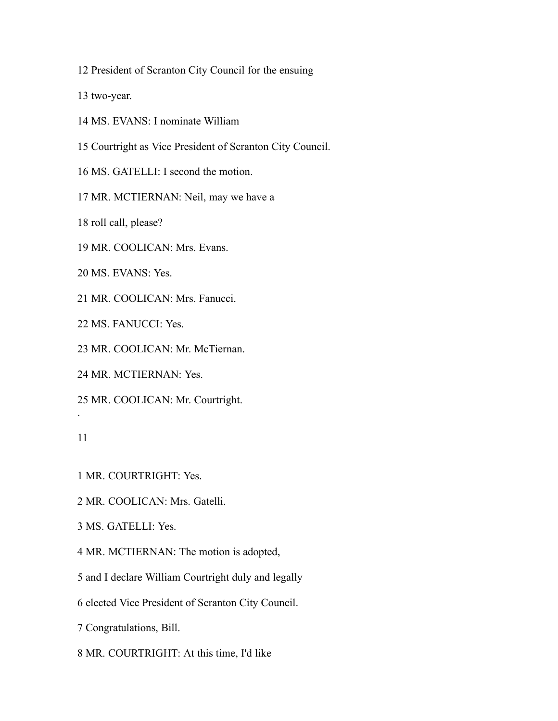President of Scranton City Council for the ensuing

two-year.

- MS. EVANS: I nominate William
- Courtright as Vice President of Scranton City Council.

MS. GATELLI: I second the motion.

MR. MCTIERNAN: Neil, may we have a

roll call, please?

MR. COOLICAN: Mrs. Evans.

MS. EVANS: Yes.

MR. COOLICAN: Mrs. Fanucci.

MS. FANUCCI: Yes.

MR. COOLICAN: Mr. McTiernan.

MR. MCTIERNAN: Yes.

MR. COOLICAN: Mr. Courtright.

.

MR. COURTRIGHT: Yes.

MR. COOLICAN: Mrs. Gatelli.

MS. GATELLI: Yes.

MR. MCTIERNAN: The motion is adopted,

and I declare William Courtright duly and legally

elected Vice President of Scranton City Council.

Congratulations, Bill.

MR. COURTRIGHT: At this time, I'd like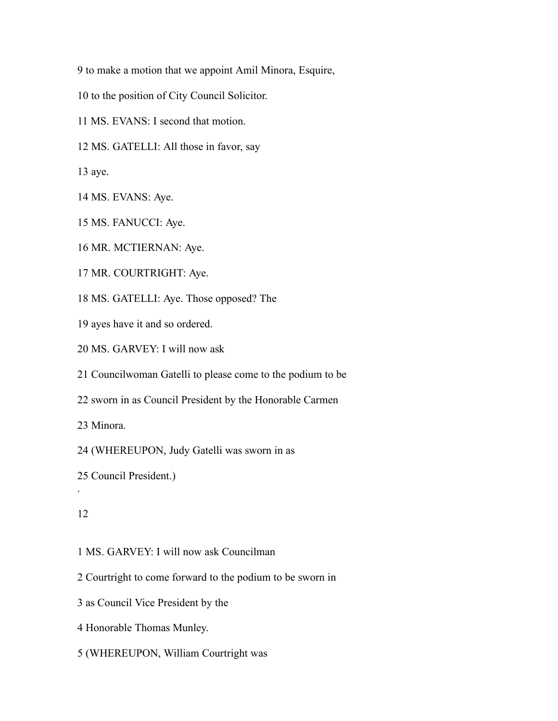to make a motion that we appoint Amil Minora, Esquire,

- to the position of City Council Solicitor.
- MS. EVANS: I second that motion.
- MS. GATELLI: All those in favor, say

aye.

- MS. EVANS: Aye.
- MS. FANUCCI: Aye.
- MR. MCTIERNAN: Aye.
- MR. COURTRIGHT: Aye.

MS. GATELLI: Aye. Those opposed? The

- ayes have it and so ordered.
- MS. GARVEY: I will now ask

Councilwoman Gatelli to please come to the podium to be

sworn in as Council President by the Honorable Carmen

Minora.

(WHEREUPON, Judy Gatelli was sworn in as

## 

.

- MS. GARVEY: I will now ask Councilman
- Courtright to come forward to the podium to be sworn in
- as Council Vice President by the
- Honorable Thomas Munley.
- (WHEREUPON, William Courtright was

Council President.)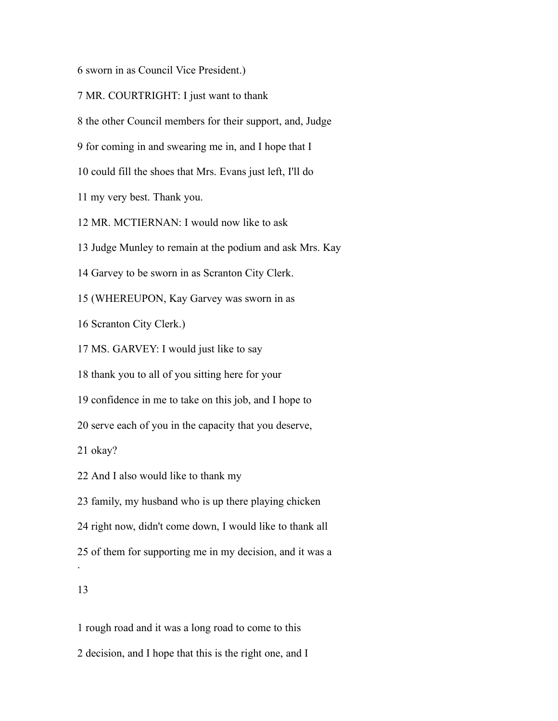sworn in as Council Vice President.)

MR. COURTRIGHT: I just want to thank

the other Council members for their support, and, Judge

for coming in and swearing me in, and I hope that I

could fill the shoes that Mrs. Evans just left, I'll do

my very best. Thank you.

MR. MCTIERNAN: I would now like to ask

Judge Munley to remain at the podium and ask Mrs. Kay

Garvey to be sworn in as Scranton City Clerk.

(WHEREUPON, Kay Garvey was sworn in as

Scranton City Clerk.)

MS. GARVEY: I would just like to say

thank you to all of you sitting here for your

confidence in me to take on this job, and I hope to

serve each of you in the capacity that you deserve,

okay?

And I also would like to thank my

family, my husband who is up there playing chicken

right now, didn't come down, I would like to thank all

of them for supporting me in my decision, and it was a

### 

.

 rough road and it was a long road to come to this decision, and I hope that this is the right one, and I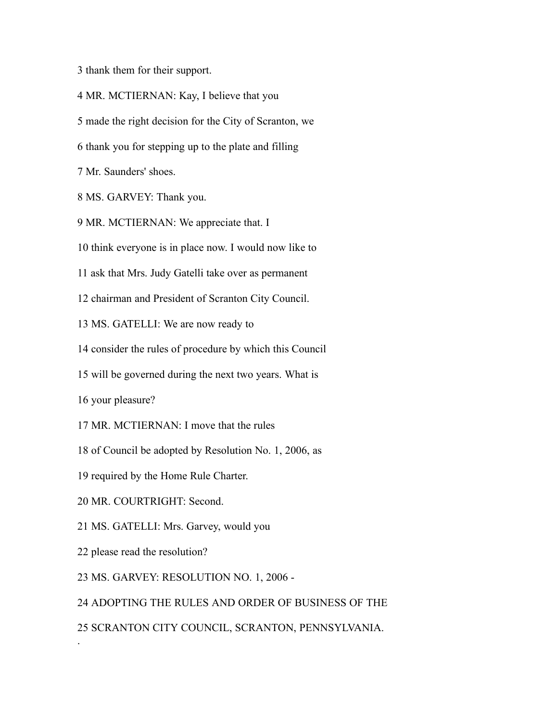thank them for their support.

MR. MCTIERNAN: Kay, I believe that you

made the right decision for the City of Scranton, we

thank you for stepping up to the plate and filling

Mr. Saunders' shoes.

MS. GARVEY: Thank you.

MR. MCTIERNAN: We appreciate that. I

think everyone is in place now. I would now like to

ask that Mrs. Judy Gatelli take over as permanent

chairman and President of Scranton City Council.

MS. GATELLI: We are now ready to

consider the rules of procedure by which this Council

will be governed during the next two years. What is

your pleasure?

MR. MCTIERNAN: I move that the rules

of Council be adopted by Resolution No. 1, 2006, as

required by the Home Rule Charter.

MR. COURTRIGHT: Second.

MS. GATELLI: Mrs. Garvey, would you

please read the resolution?

.

MS. GARVEY: RESOLUTION NO. 1, 2006 -

ADOPTING THE RULES AND ORDER OF BUSINESS OF THE

SCRANTON CITY COUNCIL, SCRANTON, PENNSYLVANIA.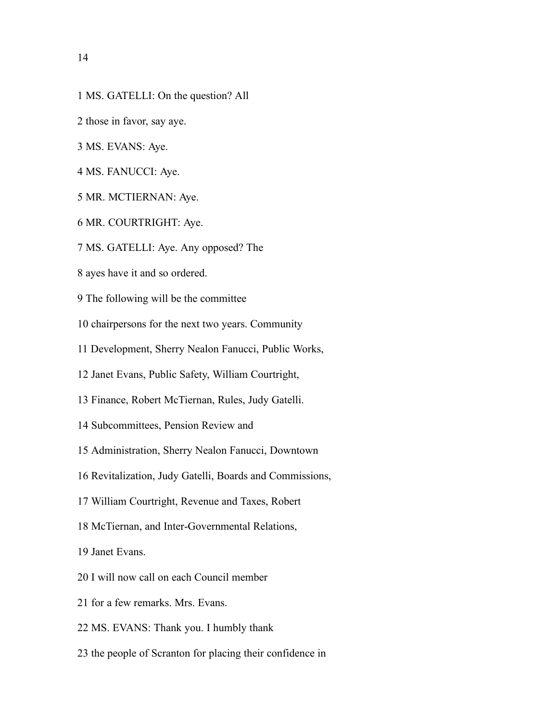- MS. GATELLI: On the question? All
- those in favor, say aye.
- MS. EVANS: Aye.
- MS. FANUCCI: Aye.
- MR. MCTIERNAN: Aye.
- MR. COURTRIGHT: Aye.
- MS. GATELLI: Aye. Any opposed? The
- ayes have it and so ordered.
- The following will be the committee
- chairpersons for the next two years. Community
- Development, Sherry Nealon Fanucci, Public Works,
- Janet Evans, Public Safety, William Courtright,
- Finance, Robert McTiernan, Rules, Judy Gatelli.
- Subcommittees, Pension Review and
- Administration, Sherry Nealon Fanucci, Downtown
- Revitalization, Judy Gatelli, Boards and Commissions,
- William Courtright, Revenue and Taxes, Robert
- McTiernan, and Inter-Governmental Relations,
- Janet Evans.
- I will now call on each Council member
- for a few remarks. Mrs. Evans.
- MS. EVANS: Thank you. I humbly thank
- the people of Scranton for placing their confidence in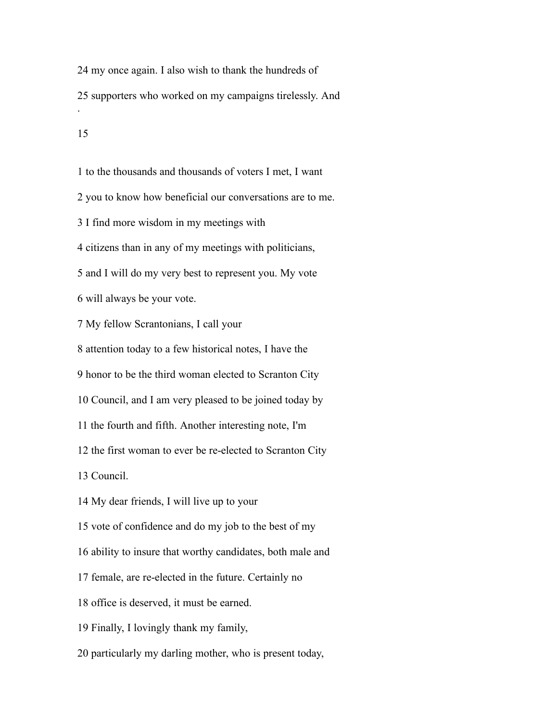my once again. I also wish to thank the hundreds of supporters who worked on my campaigns tirelessly. And . 

 to the thousands and thousands of voters I met, I want you to know how beneficial our conversations are to me. I find more wisdom in my meetings with citizens than in any of my meetings with politicians, and I will do my very best to represent you. My vote will always be your vote. My fellow Scrantonians, I call your attention today to a few historical notes, I have the honor to be the third woman elected to Scranton City Council, and I am very pleased to be joined today by the fourth and fifth. Another interesting note, I'm the first woman to ever be re-elected to Scranton City Council. My dear friends, I will live up to your vote of confidence and do my job to the best of my ability to insure that worthy candidates, both male and female, are re-elected in the future. Certainly no office is deserved, it must be earned.

Finally, I lovingly thank my family,

particularly my darling mother, who is present today,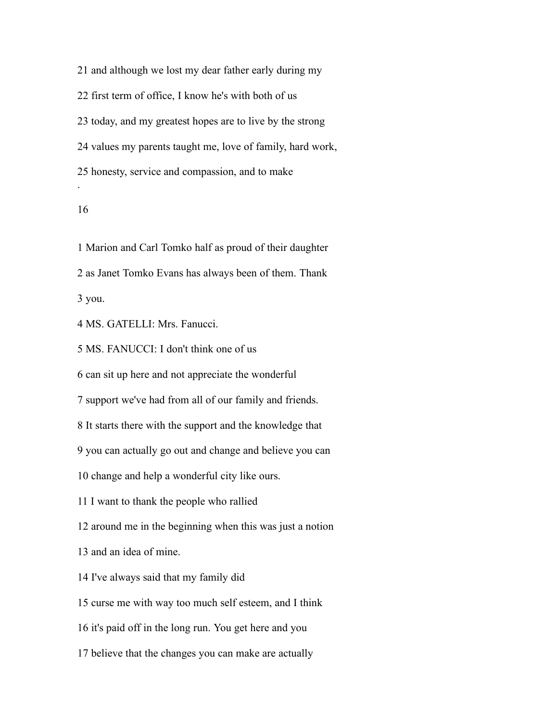and although we lost my dear father early during my first term of office, I know he's with both of us today, and my greatest hopes are to live by the strong values my parents taught me, love of family, hard work, honesty, service and compassion, and to make .

 Marion and Carl Tomko half as proud of their daughter as Janet Tomko Evans has always been of them. Thank you.

MS. GATELLI: Mrs. Fanucci.

MS. FANUCCI: I don't think one of us

can sit up here and not appreciate the wonderful

support we've had from all of our family and friends.

It starts there with the support and the knowledge that

you can actually go out and change and believe you can

change and help a wonderful city like ours.

I want to thank the people who rallied

around me in the beginning when this was just a notion

and an idea of mine.

I've always said that my family did

curse me with way too much self esteem, and I think

it's paid off in the long run. You get here and you

believe that the changes you can make are actually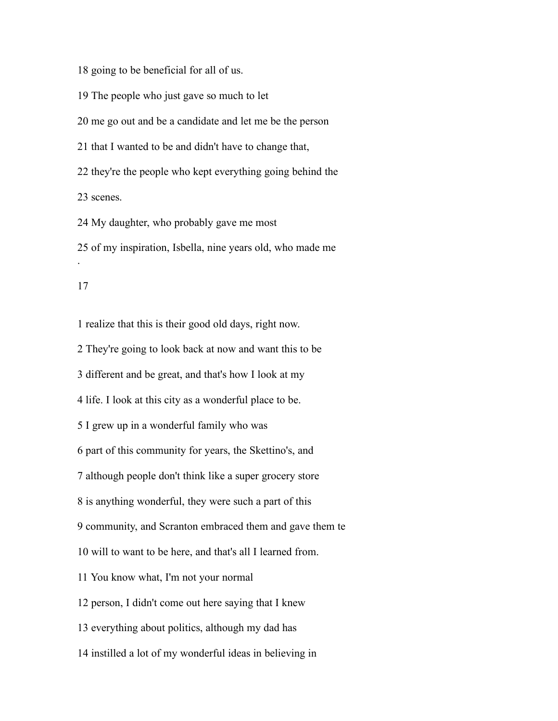going to be beneficial for all of us.

The people who just gave so much to let

me go out and be a candidate and let me be the person

that I wanted to be and didn't have to change that,

 they're the people who kept everything going behind the scenes.

My daughter, who probably gave me most

 of my inspiration, Isbella, nine years old, who made me .

 realize that this is their good old days, right now. They're going to look back at now and want this to be different and be great, and that's how I look at my life. I look at this city as a wonderful place to be. I grew up in a wonderful family who was part of this community for years, the Skettino's, and although people don't think like a super grocery store is anything wonderful, they were such a part of this community, and Scranton embraced them and gave them te will to want to be here, and that's all I learned from. You know what, I'm not your normal person, I didn't come out here saying that I knew everything about politics, although my dad has instilled a lot of my wonderful ideas in believing in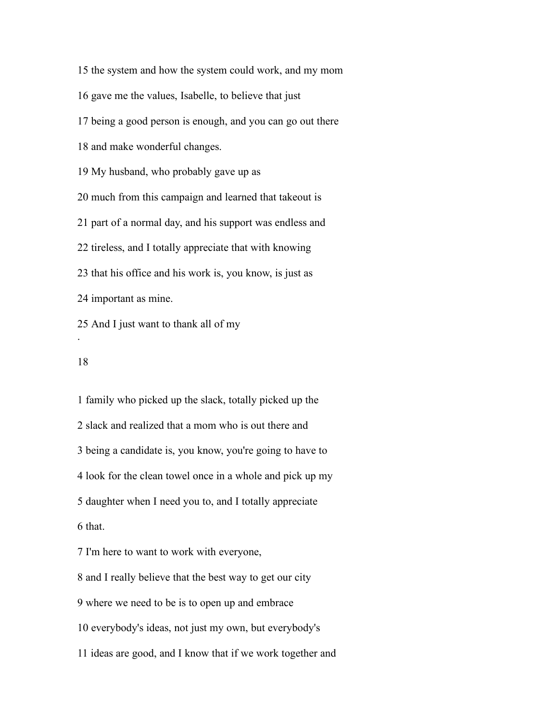the system and how the system could work, and my mom gave me the values, Isabelle, to believe that just being a good person is enough, and you can go out there and make wonderful changes. My husband, who probably gave up as much from this campaign and learned that takeout is part of a normal day, and his support was endless and tireless, and I totally appreciate that with knowing that his office and his work is, you know, is just as important as mine.

And I just want to thank all of my

## 

.

 family who picked up the slack, totally picked up the slack and realized that a mom who is out there and being a candidate is, you know, you're going to have to look for the clean towel once in a whole and pick up my daughter when I need you to, and I totally appreciate that. I'm here to want to work with everyone, and I really believe that the best way to get our city where we need to be is to open up and embrace everybody's ideas, not just my own, but everybody's

ideas are good, and I know that if we work together and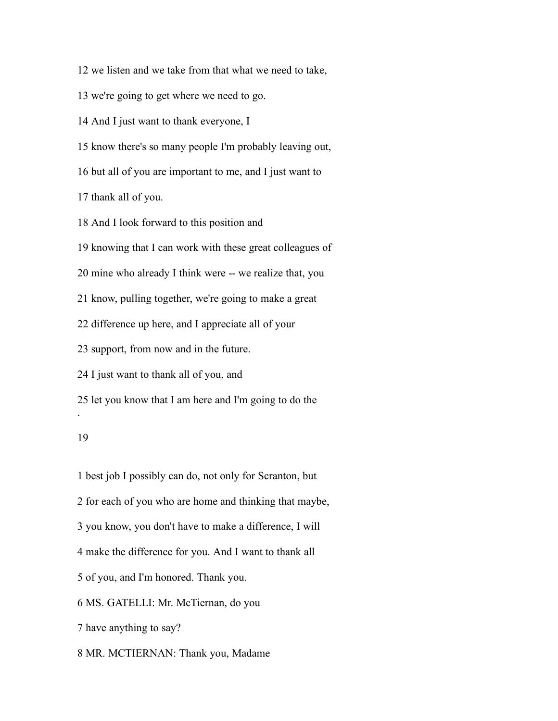we listen and we take from that what we need to take,

we're going to get where we need to go.

And I just want to thank everyone, I

know there's so many people I'm probably leaving out,

but all of you are important to me, and I just want to

thank all of you.

And I look forward to this position and

knowing that I can work with these great colleagues of

mine who already I think were -- we realize that, you

know, pulling together, we're going to make a great

difference up here, and I appreciate all of your

support, from now and in the future.

I just want to thank all of you, and

let you know that I am here and I'm going to do the

## 

.

 best job I possibly can do, not only for Scranton, but for each of you who are home and thinking that maybe, you know, you don't have to make a difference, I will make the difference for you. And I want to thank all of you, and I'm honored. Thank you. MS. GATELLI: Mr. McTiernan, do you have anything to say? MR. MCTIERNAN: Thank you, Madame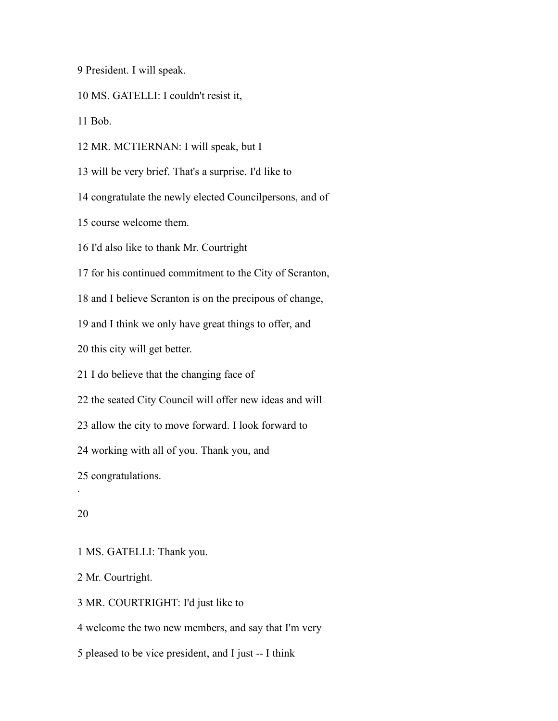President. I will speak.

MS. GATELLI: I couldn't resist it,

Bob.

MR. MCTIERNAN: I will speak, but I

will be very brief. That's a surprise. I'd like to

congratulate the newly elected Councilpersons, and of

course welcome them.

I'd also like to thank Mr. Courtright

for his continued commitment to the City of Scranton,

and I believe Scranton is on the precipous of change,

and I think we only have great things to offer, and

this city will get better.

I do believe that the changing face of

the seated City Council will offer new ideas and will

allow the city to move forward. I look forward to

working with all of you. Thank you, and

congratulations.

## 

.

MS. GATELLI: Thank you.

Mr. Courtright.

MR. COURTRIGHT: I'd just like to

welcome the two new members, and say that I'm very

pleased to be vice president, and I just -- I think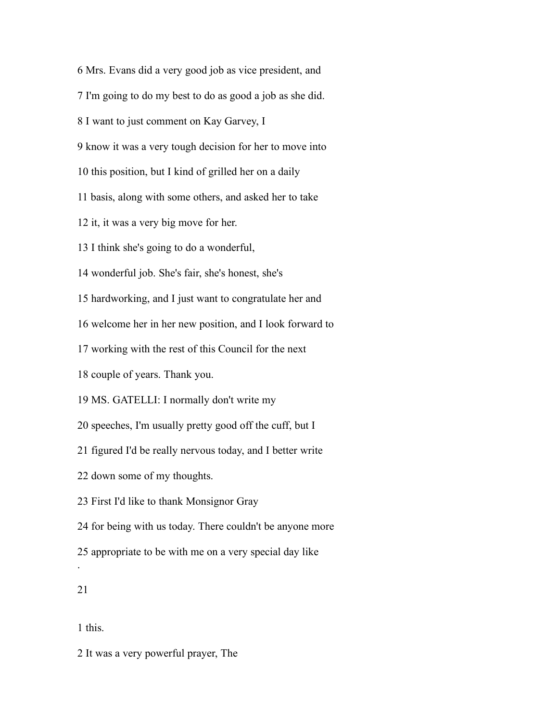Mrs. Evans did a very good job as vice president, and

I'm going to do my best to do as good a job as she did.

I want to just comment on Kay Garvey, I

know it was a very tough decision for her to move into

this position, but I kind of grilled her on a daily

basis, along with some others, and asked her to take

it, it was a very big move for her.

I think she's going to do a wonderful,

wonderful job. She's fair, she's honest, she's

hardworking, and I just want to congratulate her and

welcome her in her new position, and I look forward to

working with the rest of this Council for the next

couple of years. Thank you.

MS. GATELLI: I normally don't write my

speeches, I'm usually pretty good off the cuff, but I

figured I'd be really nervous today, and I better write

down some of my thoughts.

First I'd like to thank Monsignor Gray

for being with us today. There couldn't be anyone more

appropriate to be with me on a very special day like

.

this.

It was a very powerful prayer, The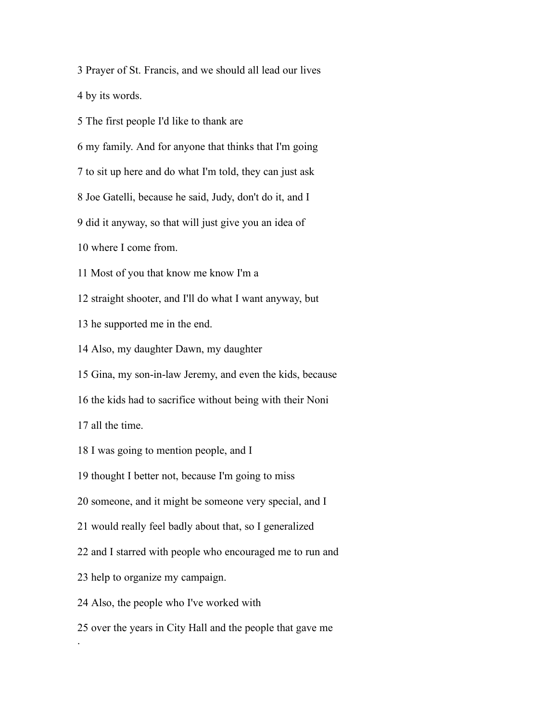Prayer of St. Francis, and we should all lead our lives

by its words.

The first people I'd like to thank are

my family. And for anyone that thinks that I'm going

to sit up here and do what I'm told, they can just ask

Joe Gatelli, because he said, Judy, don't do it, and I

did it anyway, so that will just give you an idea of

where I come from.

Most of you that know me know I'm a

straight shooter, and I'll do what I want anyway, but

he supported me in the end.

Also, my daughter Dawn, my daughter

Gina, my son-in-law Jeremy, and even the kids, because

the kids had to sacrifice without being with their Noni

all the time.

.

I was going to mention people, and I

thought I better not, because I'm going to miss

someone, and it might be someone very special, and I

would really feel badly about that, so I generalized

and I starred with people who encouraged me to run and

help to organize my campaign.

Also, the people who I've worked with

over the years in City Hall and the people that gave me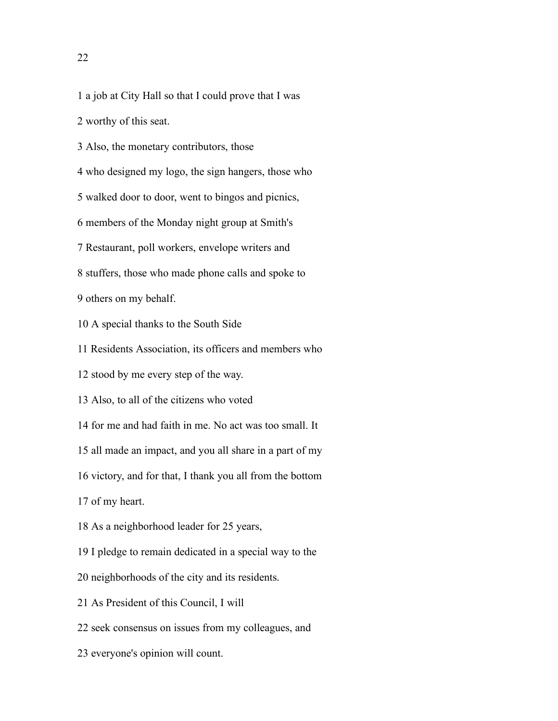a job at City Hall so that I could prove that I was

worthy of this seat.

Also, the monetary contributors, those

who designed my logo, the sign hangers, those who

walked door to door, went to bingos and picnics,

members of the Monday night group at Smith's

Restaurant, poll workers, envelope writers and

stuffers, those who made phone calls and spoke to

others on my behalf.

A special thanks to the South Side

Residents Association, its officers and members who

stood by me every step of the way.

Also, to all of the citizens who voted

for me and had faith in me. No act was too small. It

all made an impact, and you all share in a part of my

victory, and for that, I thank you all from the bottom

of my heart.

As a neighborhood leader for 25 years,

I pledge to remain dedicated in a special way to the

neighborhoods of the city and its residents.

As President of this Council, I will

seek consensus on issues from my colleagues, and

everyone's opinion will count.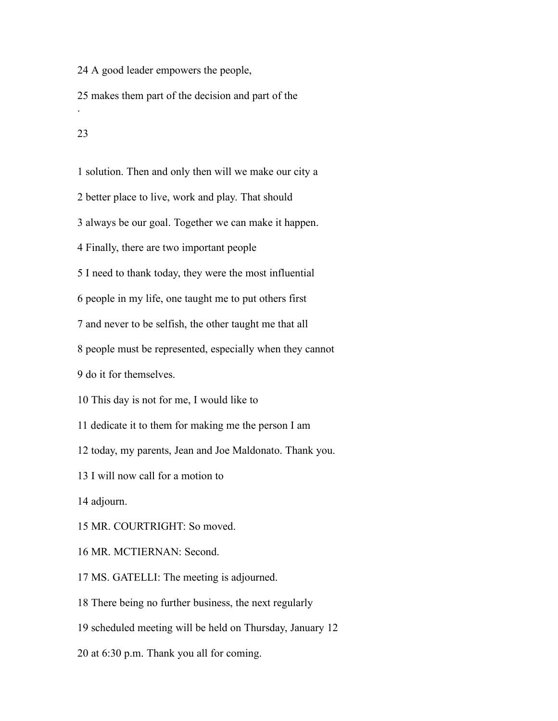A good leader empowers the people,

 makes them part of the decision and part of the .

 solution. Then and only then will we make our city a better place to live, work and play. That should always be our goal. Together we can make it happen. Finally, there are two important people I need to thank today, they were the most influential people in my life, one taught me to put others first and never to be selfish, the other taught me that all people must be represented, especially when they cannot do it for themselves. This day is not for me, I would like to dedicate it to them for making me the person I am today, my parents, Jean and Joe Maldonato. Thank you. I will now call for a motion to adjourn. MR. COURTRIGHT: So moved. MR. MCTIERNAN: Second. MS. GATELLI: The meeting is adjourned. There being no further business, the next regularly scheduled meeting will be held on Thursday, January 12

at 6:30 p.m. Thank you all for coming.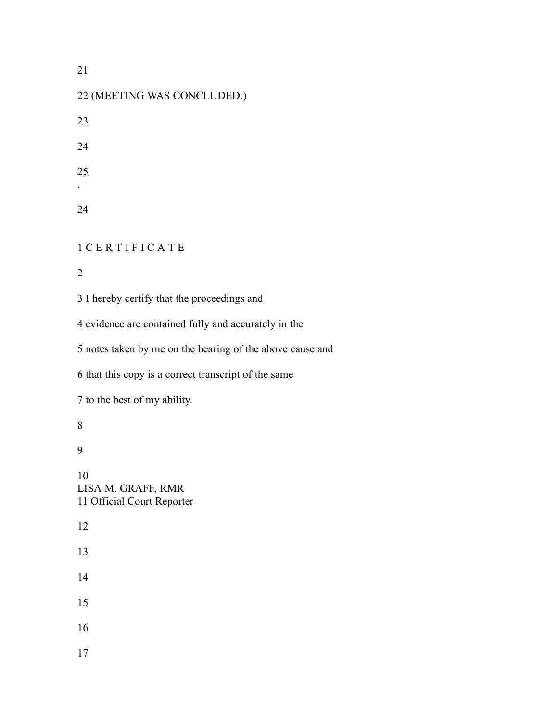## 

| 22 (MEETING WAS CONCLUDED.)                |
|--------------------------------------------|
| 23                                         |
| 24                                         |
| 25                                         |
| 24                                         |
| <b>ICERTIFICATE</b>                        |
| $\overline{2}$                             |
| 3 I hereby certify that the proceedings an |
| $\lambda$ $\lambda$                        |

evidence are contained fully and accurately in the

notes taken by me on the hearing of the above cause and

that this copy is a correct transcript of the same

to the best of my ability.

 LISA M. GRAFF, RMR Official Court Reporter